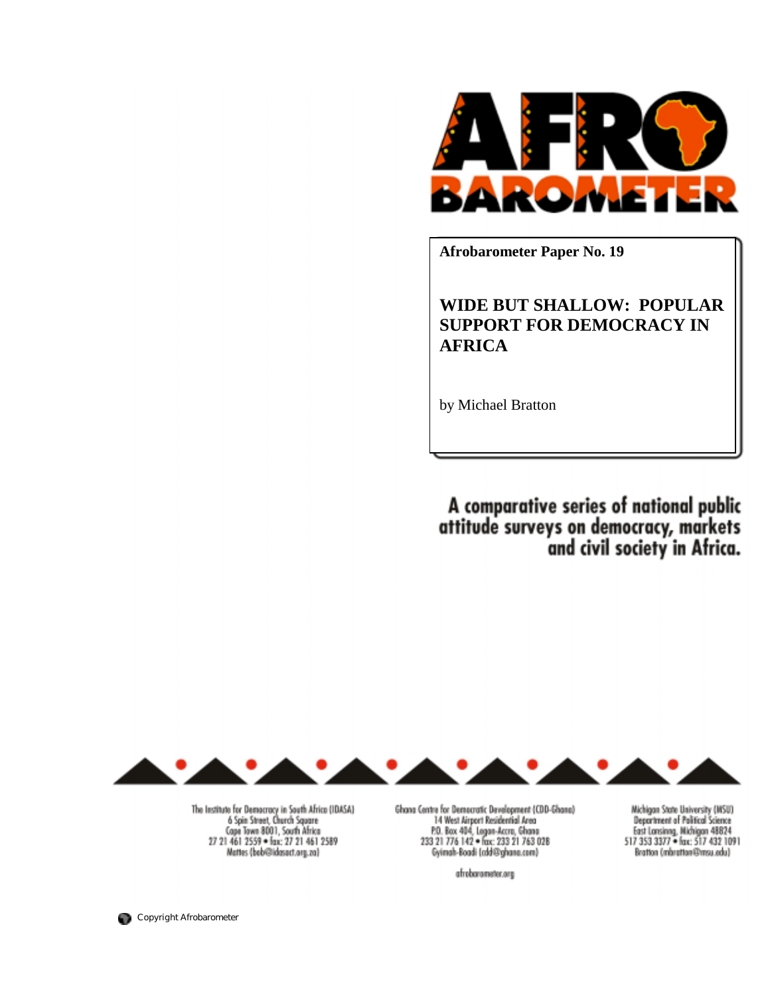

**Afrobarometer Paper No. 19** 

# **WIDE BUT SHALLOW: POPULAR SUPPORT FOR DEMOCRACY IN AFRICA**

by Michael Bratton

A comparative series of national public<br>attitude surveys on democracy, markets<br>and civil society in Africa.



The Institute for Democracy in South Africa (IDASA) 6 Spin Street, Church Square Gape Town 8001, South Africa<br>27 21 461 2559 = fax: 27 21 461 2589<br>Mattes (beb@ildosact.org.zo)

Ghana Centre for Democratic Development (CDD-Ghana) 14 West Airport Residential Area<br>P.O. Box 404, Legan-Accro, Ghana<br>233 21 776 142 = fax: 233 21 763 028 Gyimah-Boadi (cdd@ghana.com)

afrobarameter.org

Michigan State University (MSU) **Department of Political Science** East Lonsinng, Michigan 48824<br>517 353 3377 - fax: 517 432 1091 (Lobs.Lom@instrahm) nothers

Copyright Afrobarometer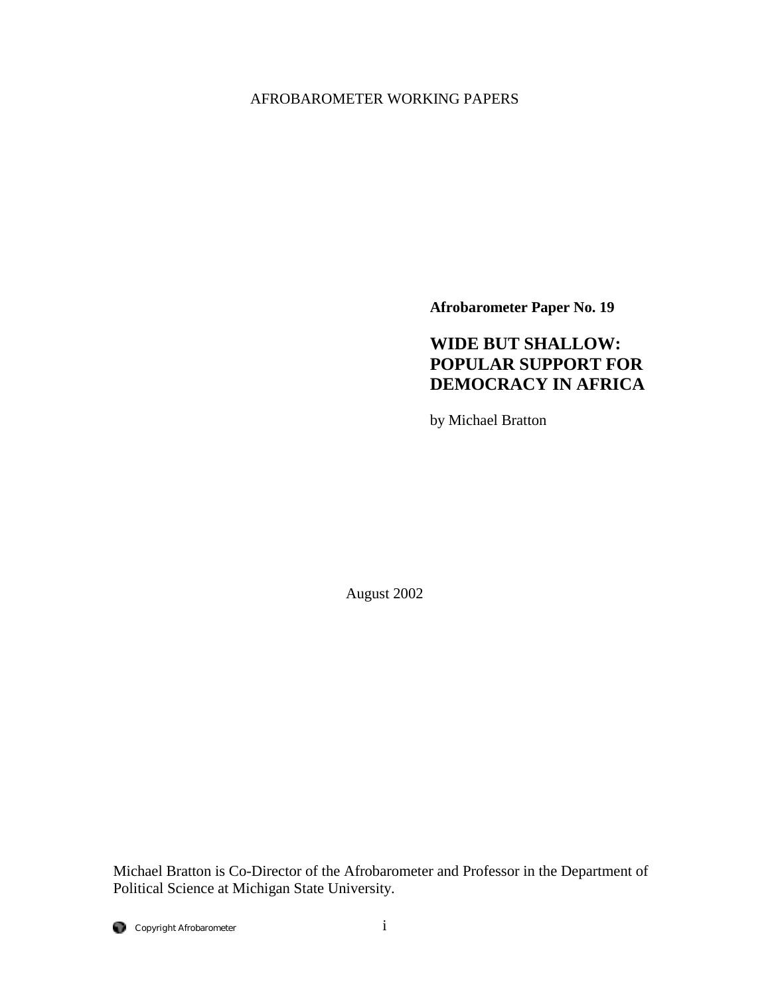# AFROBAROMETER WORKING PAPERS

**Afrobarometer Paper No. 19** 

# **WIDE BUT SHALLOW: POPULAR SUPPORT FOR DEMOCRACY IN AFRICA**

by Michael Bratton

August 2002

Michael Bratton is Co-Director of the Afrobarometer and Professor in the Department of Political Science at Michigan State University.

Copyright Afrobarometer i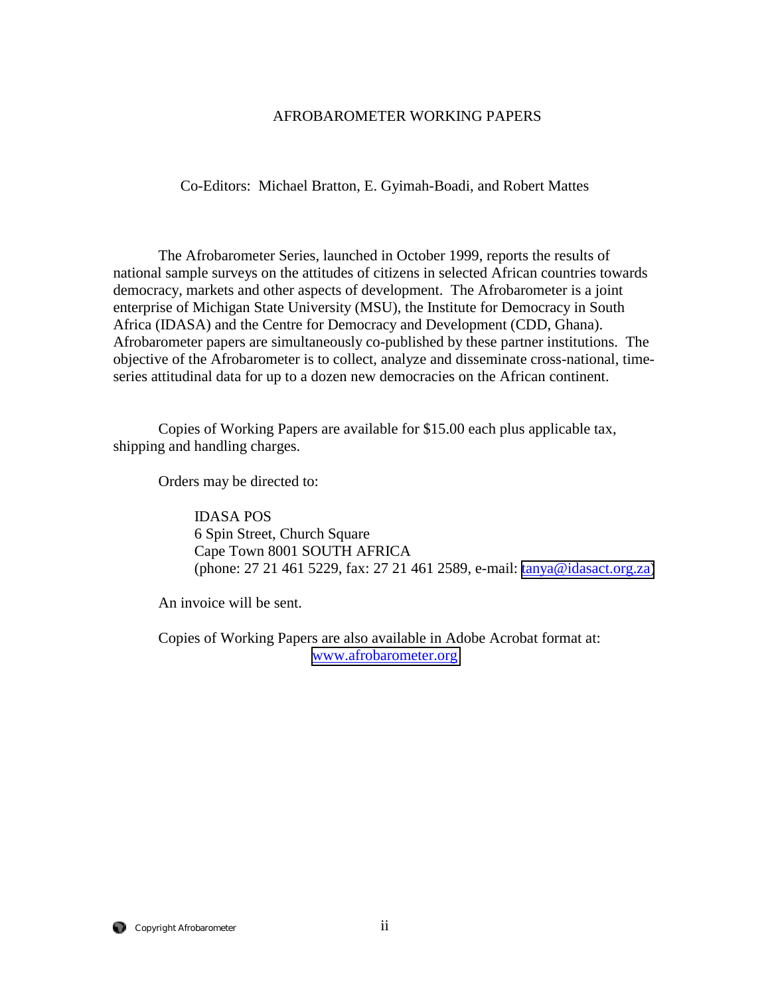#### AFROBAROMETER WORKING PAPERS

Co-Editors: Michael Bratton, E. Gyimah-Boadi, and Robert Mattes

 The Afrobarometer Series, launched in October 1999, reports the results of national sample surveys on the attitudes of citizens in selected African countries towards democracy, markets and other aspects of development. The Afrobarometer is a joint enterprise of Michigan State University (MSU), the Institute for Democracy in South Africa (IDASA) and the Centre for Democracy and Development (CDD, Ghana). Afrobarometer papers are simultaneously co-published by these partner institutions. The objective of the Afrobarometer is to collect, analyze and disseminate cross-national, timeseries attitudinal data for up to a dozen new democracies on the African continent.

Copies of Working Papers are available for \$15.00 each plus applicable tax, shipping and handling charges.

Orders may be directed to:

 IDASA POS 6 Spin Street, Church Square Cape Town 8001 SOUTH AFRICA (phone: 27 21 461 5229, fax: 27 21 461 2589, e-mail: [tanya@idasact.org.za\)](mailto: tanya@idasact.org.za)

An invoice will be sent.

 Copies of Working Papers are also available in Adobe Acrobat format at: [www.afrobarometer.org](http://www.afrobarometer.org/)

Copyright Afrobarometer ii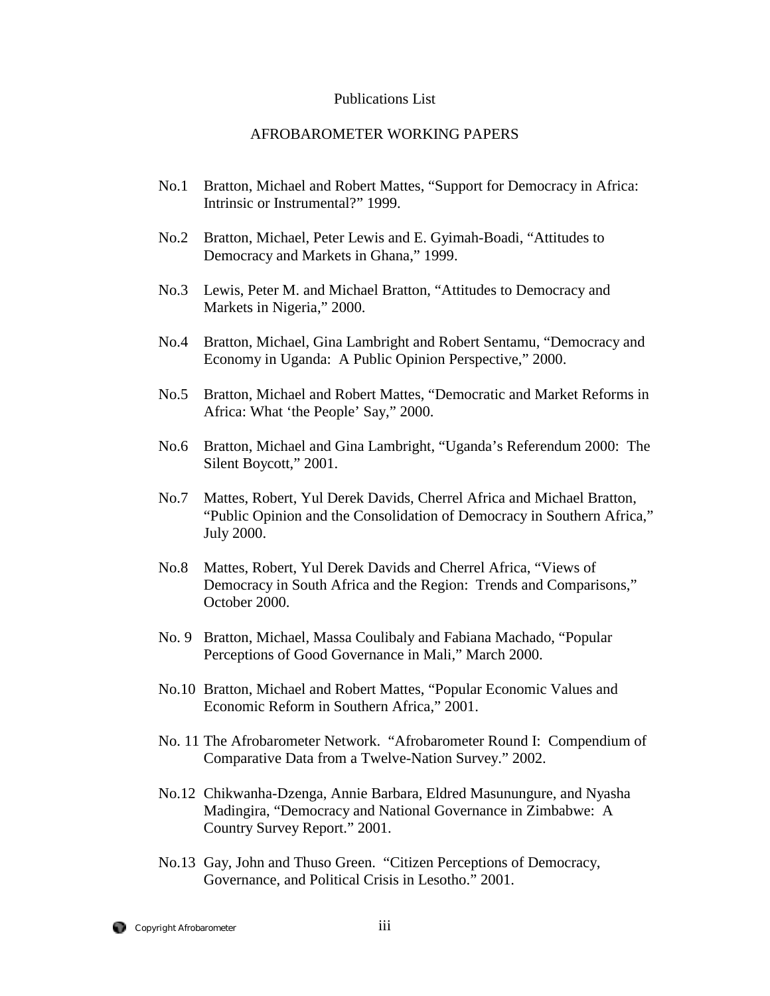#### Publications List

#### AFROBAROMETER WORKING PAPERS

- No.1 Bratton, Michael and Robert Mattes, "Support for Democracy in Africa: Intrinsic or Instrumental?" 1999.
- No.2 Bratton, Michael, Peter Lewis and E. Gyimah-Boadi, "Attitudes to Democracy and Markets in Ghana," 1999.
- No.3 Lewis, Peter M. and Michael Bratton, "Attitudes to Democracy and Markets in Nigeria," 2000.
- No.4 Bratton, Michael, Gina Lambright and Robert Sentamu, "Democracy and Economy in Uganda: A Public Opinion Perspective," 2000.
- No.5 Bratton, Michael and Robert Mattes, "Democratic and Market Reforms in Africa: What 'the People' Say," 2000.
- No.6 Bratton, Michael and Gina Lambright, "Uganda's Referendum 2000: The Silent Boycott," 2001.
- No.7 Mattes, Robert, Yul Derek Davids, Cherrel Africa and Michael Bratton, "Public Opinion and the Consolidation of Democracy in Southern Africa," July 2000.
- No.8 Mattes, Robert, Yul Derek Davids and Cherrel Africa, "Views of Democracy in South Africa and the Region: Trends and Comparisons," October 2000.
- No. 9 Bratton, Michael, Massa Coulibaly and Fabiana Machado, "Popular Perceptions of Good Governance in Mali," March 2000.
- No.10 Bratton, Michael and Robert Mattes, "Popular Economic Values and Economic Reform in Southern Africa," 2001.
- No. 11 The Afrobarometer Network. "Afrobarometer Round I: Compendium of Comparative Data from a Twelve-Nation Survey." 2002.
- No.12 Chikwanha-Dzenga, Annie Barbara, Eldred Masunungure, and Nyasha Madingira, "Democracy and National Governance in Zimbabwe: A Country Survey Report." 2001.
- No.13 Gay, John and Thuso Green. "Citizen Perceptions of Democracy, Governance, and Political Crisis in Lesotho." 2001.

Copyright Afrobarometer iii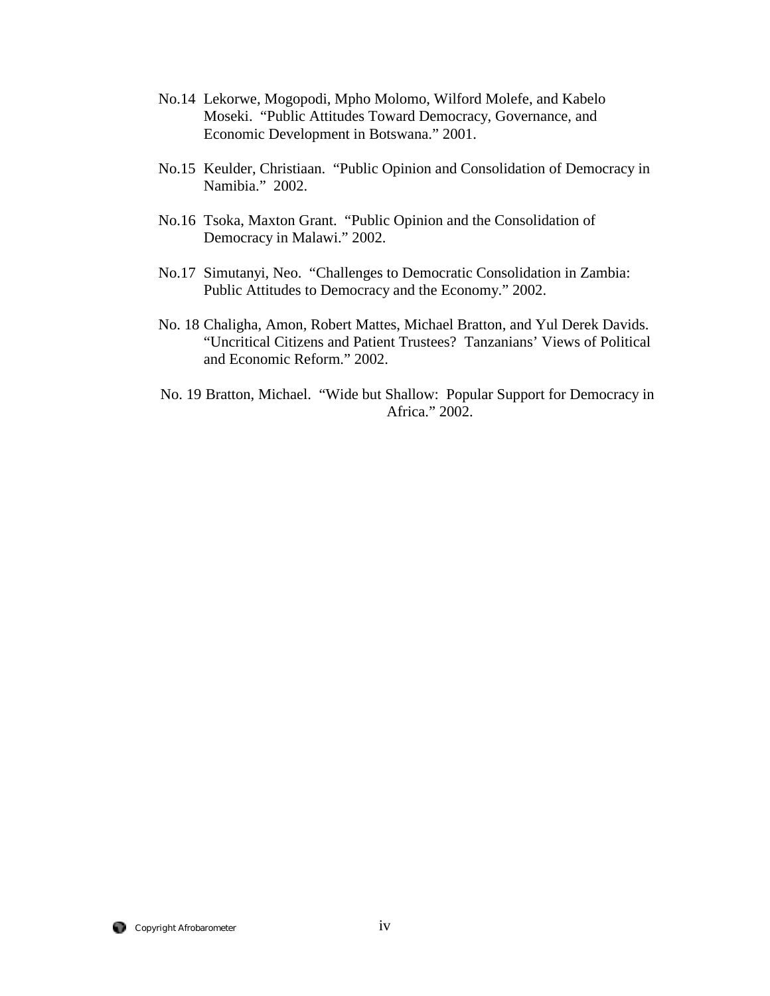- No.14 Lekorwe, Mogopodi, Mpho Molomo, Wilford Molefe, and Kabelo Moseki. "Public Attitudes Toward Democracy, Governance, and Economic Development in Botswana." 2001.
- No.15 Keulder, Christiaan. "Public Opinion and Consolidation of Democracy in Namibia." 2002.
- No.16 Tsoka, Maxton Grant. "Public Opinion and the Consolidation of Democracy in Malawi." 2002.
- No.17 Simutanyi, Neo. "Challenges to Democratic Consolidation in Zambia: Public Attitudes to Democracy and the Economy." 2002.
- No. 18 Chaligha, Amon, Robert Mattes, Michael Bratton, and Yul Derek Davids. "Uncritical Citizens and Patient Trustees? Tanzanians' Views of Political and Economic Reform." 2002.
- No. 19 Bratton, Michael. "Wide but Shallow: Popular Support for Democracy in Africa." 2002.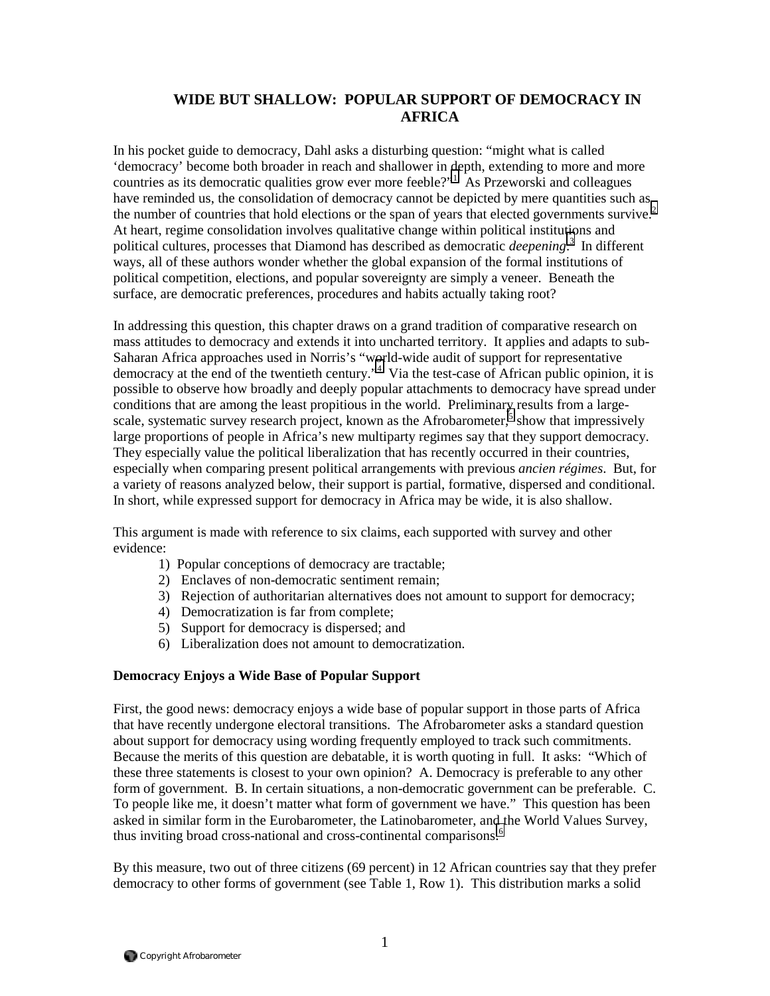# **WIDE BUT SHALLOW: POPULAR SUPPORT OF DEMOCRACY IN AFRICA**

In his pocket guide to democracy, Dahl asks a disturbing question: "might what is called 'democracy' become both broader in reach and shallower in depth, extending to more and more countries as its democratic qualities grow ever more feeble?"<sup>[1](#page-24-0)</sup> As Przeworski and colleagues have reminded us, the consolidation of democracy cannot be depicted by mere quantities such as the number of countries that hold elections or the span of years that elected governments survive.<sup>2</sup> At heart, regime consolidation involves qualitative change within political institu[tio](#page-24-0)ns and political cultures, processes that Diamond has described as democratic *deepening*. 3 In different ways, all of these authors wonder whether the global expansion of the formal institutions of political competition, elections, and popular sovereignty are simply a veneer. Beneath the surface, are democratic preferences, procedures and habits actually taking root?

In addressing this question, this chapter draws on a grand tradition of comparative research on mass attitudes to democracy and extends it into uncharted territory. It applies and adapts to sub-Saharan Africa approaches used in Norris's "w[or](#page-24-0)ld-wide audit of support for representative democracy at the end of the twentieth century."<sup>4</sup> Via the test-case of African public opinion, it is possible to observe how broadly and deeply popular attachments to democracy have spread under conditions that are among the least propitious in the world. Preliminary results from a largescale, systematic survey research project, known as the Afrobarometer, $\overline{s}$  show that impressively large proportions of people in Africa's new multiparty regimes say that they support democracy. They especially value the political liberalization that has recently occurred in their countries, especially when comparing present political arrangements with previous *ancien régimes*. But, for a variety of reasons analyzed below, their support is partial, formative, dispersed and conditional. In short, while expressed support for democracy in Africa may be wide, it is also shallow.

This argument is made with reference to six claims, each supported with survey and other evidence:

- 1) Popular conceptions of democracy are tractable;
- 2) Enclaves of non-democratic sentiment remain;
- 3) Rejection of authoritarian alternatives does not amount to support for democracy;
- 4) Democratization is far from complete;
- 5) Support for democracy is dispersed; and
- 6) Liberalization does not amount to democratization.

#### **Democracy Enjoys a Wide Base of Popular Support**

First, the good news: democracy enjoys a wide base of popular support in those parts of Africa that have recently undergone electoral transitions. The Afrobarometer asks a standard question about support for democracy using wording frequently employed to track such commitments. Because the merits of this question are debatable, it is worth quoting in full. It asks: "Which of these three statements is closest to your own opinion? A. Democracy is preferable to any other form of government. B. In certain situations, a non-democratic government can be preferable. C. To people like me, it doesn't matter what form of government we have." This question has been asked in similar form in the Eurobarometer, the Latinobarometer, and the World Values Survey, thus inviting broad cross-national and cross-continental comparisons.<sup>6</sup>

By this measure, two out of three citizens (69 percent) in 12 African countries say that they prefer democracy to other forms of government (see Table 1, Row 1). This distribution marks a solid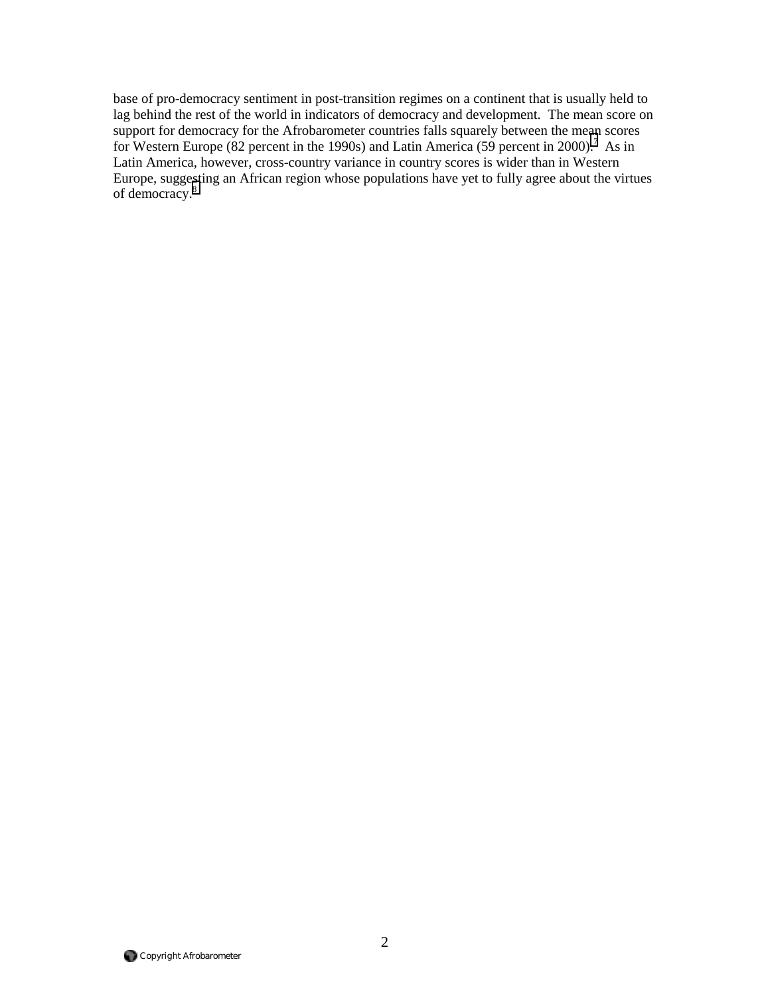base of pro-democracy sentiment in post-transition regimes on a continent that is usually held to lag behind the rest of the world in indicators of democracy and development. The mean score on support for democracy for the Afrobarometer countries falls squarely between the mean scores for Western Europe (82 percent in the 1990s) and Latin America (59 percent in 2000).<sup>[7](#page-24-0)</sup> As in Latin America, however, cross-country variance in country scores is wider than in Western Europe, suggesting an African region whose populations have yet to fully agree about the virtues of democracy.[8](#page-24-0)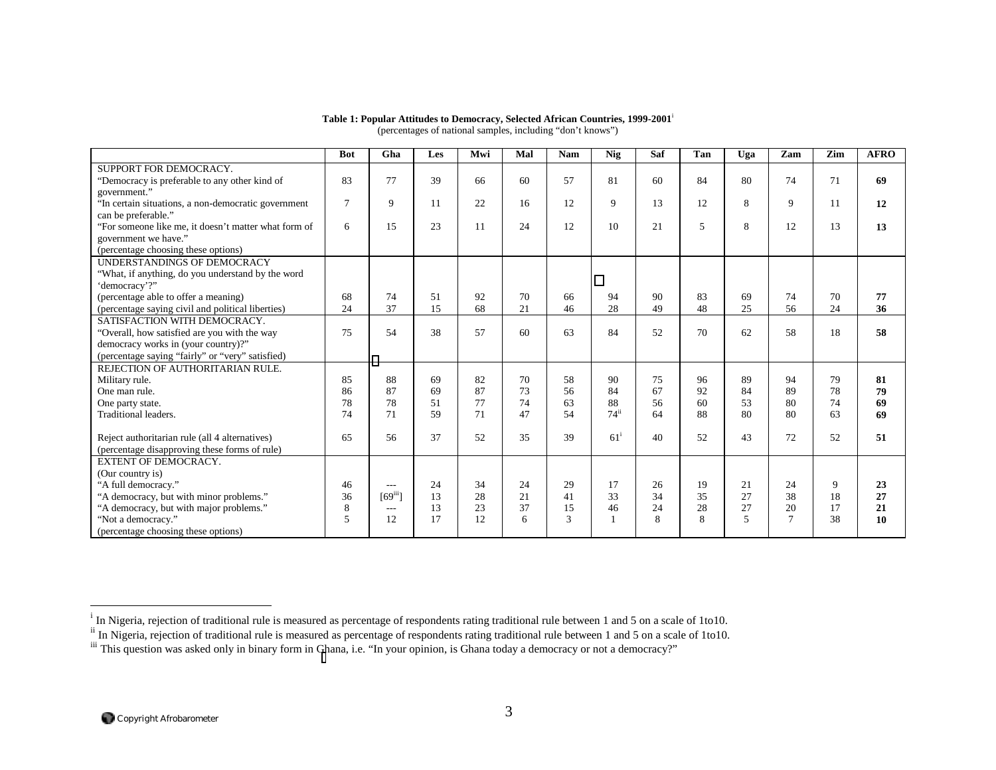|                                                      | <b>Bot</b>     | Gha                     | Les | Mwi | Mal | <b>Nam</b> | Nig                | Saf | Tan | Uga | Zam             | Zim | <b>AFRO</b> |
|------------------------------------------------------|----------------|-------------------------|-----|-----|-----|------------|--------------------|-----|-----|-----|-----------------|-----|-------------|
| SUPPORT FOR DEMOCRACY.                               |                |                         |     |     |     |            |                    |     |     |     |                 |     |             |
| "Democracy is preferable to any other kind of        | 83             | 77                      | 39  | 66  | 60  | 57         | 81                 | 60  | 84  | 80  | 74              | 71  | 69          |
| government."                                         |                |                         |     |     |     |            |                    |     |     |     |                 |     |             |
| "In certain situations, a non-democratic government  | $\overline{7}$ | 9                       | 11  | 22  | 16  | 12         | 9                  | 13  | 12  | 8   | 9               | 11  | 12          |
| can be preferable."                                  |                |                         |     |     |     |            |                    |     |     |     |                 |     |             |
| "For someone like me, it doesn't matter what form of | 6              | 15                      | 23  | 11  | 24  | 12         | 10                 | 21  | 5   | 8   | 12              | 13  | 13          |
| government we have."                                 |                |                         |     |     |     |            |                    |     |     |     |                 |     |             |
| (percentage choosing these options)                  |                |                         |     |     |     |            |                    |     |     |     |                 |     |             |
| UNDERSTANDINGS OF DEMOCRACY                          |                |                         |     |     |     |            |                    |     |     |     |                 |     |             |
| "What, if anything, do you understand by the word    |                |                         |     |     |     |            |                    |     |     |     |                 |     |             |
| 'democracy'?"                                        |                |                         |     |     |     |            |                    |     |     |     |                 |     |             |
| (percentage able to offer a meaning)                 | 68             | 74                      | 51  | 92  | 70  | 66         | 94                 | 90  | 83  | 69  | 74              | 70  | 77          |
| (percentage saying civil and political liberties)    | 24             | 37                      | 15  | 68  | 21  | 46         | 28                 | 49  | 48  | 25  | 56              | 24  | 36          |
| SATISFACTION WITH DEMOCRACY.                         |                |                         |     |     |     |            |                    |     |     |     |                 |     |             |
| "Overall, how satisfied are you with the way         | 75             | 54                      | 38  | 57  | 60  | 63         | 84                 | 52  | 70  | 62  | 58              | 18  | 58          |
| democracy works in (your country)?"                  |                |                         |     |     |     |            |                    |     |     |     |                 |     |             |
| (percentage saying "fairly" or "very" satisfied)     |                |                         |     |     |     |            |                    |     |     |     |                 |     |             |
| REJECTION OF AUTHORITARIAN RULE.                     |                |                         |     |     |     |            |                    |     |     |     |                 |     |             |
| Military rule.                                       | 85             | 88                      | 69  | 82  | 70  | 58         | 90                 | 75  | 96  | 89  | 94              | 79  | 81          |
| One man rule.                                        | 86             | 87                      | 69  | 87  | 73  | 56         | 84                 | 67  | 92  | 84  | 89              | 78  | 79          |
| One party state.                                     | 78             | 78                      | 51  | 77  | 74  | 63         | 88                 | 56  | 60  | 53  | 80              | 74  | 69          |
| Traditional leaders.                                 | 74             | 71                      | 59  | 71  | 47  | 54         | $74$ <sup>ii</sup> | 64  | 88  | 80  | 80              | 63  | 69          |
|                                                      |                |                         |     |     |     |            |                    |     |     |     |                 |     |             |
| Reject authoritarian rule (all 4 alternatives)       | 65             | 56                      | 37  | 52  | 35  | 39         | $61^{\mathrm{i}}$  | 40  | 52  | 43  | 72              | 52  | 51          |
| (percentage disapproving these forms of rule)        |                |                         |     |     |     |            |                    |     |     |     |                 |     |             |
| <b>EXTENT OF DEMOCRACY.</b>                          |                |                         |     |     |     |            |                    |     |     |     |                 |     |             |
| (Our country is)                                     |                |                         |     |     |     |            |                    |     |     |     |                 |     |             |
| "A full democracy."                                  | 46             | $---$                   | 24  | 34  | 24  | 29         | 17                 | 26  | 19  | 21  | 24              | 9   | 23          |
| "A democracy, but with minor problems."              | 36             | $[69]$ <sup>iii</sup> ] | 13  | 28  | 21  | 41         | 33                 | 34  | 35  | 27  | 38              | 18  | 27          |
| "A democracy, but with major problems."              | 8              | $\cdots$                | 13  | 23  | 37  | 15         | 46                 | 24  | 28  | 27  | 20              | 17  | 21          |
| "Not a democracy."                                   | 5              | 12                      | 17  | 12  | 6   | 3          |                    | 8   | 8   | 5   | $7\phantom{.0}$ | 38  | 10          |
| (percentage choosing these options)                  |                |                         |     |     |     |            |                    |     |     |     |                 |     |             |

#### **Table 1: Popular Attitudes to Democracy, Selected African Countries, 1999-2001**<sup>i</sup> (percentages of national samples, including "don't knows")

<sup>&</sup>lt;sup>i</sup> In Nigeria, rejection of traditional rule is measured as percentage of respondents rating traditional rule between 1 and 5 on a scale of 1to10.

<sup>&</sup>lt;sup>ii</sup> In Nigeria, rejection of traditional rule is measured as percentage of respondents rating traditional rule between 1 and 5 on a scale of 1to10.

<sup>&</sup>lt;sup>iii</sup> This question was asked only in binary form in Ghana, i.e. "In your opinion, is Ghana today a democracy or not a democracy?"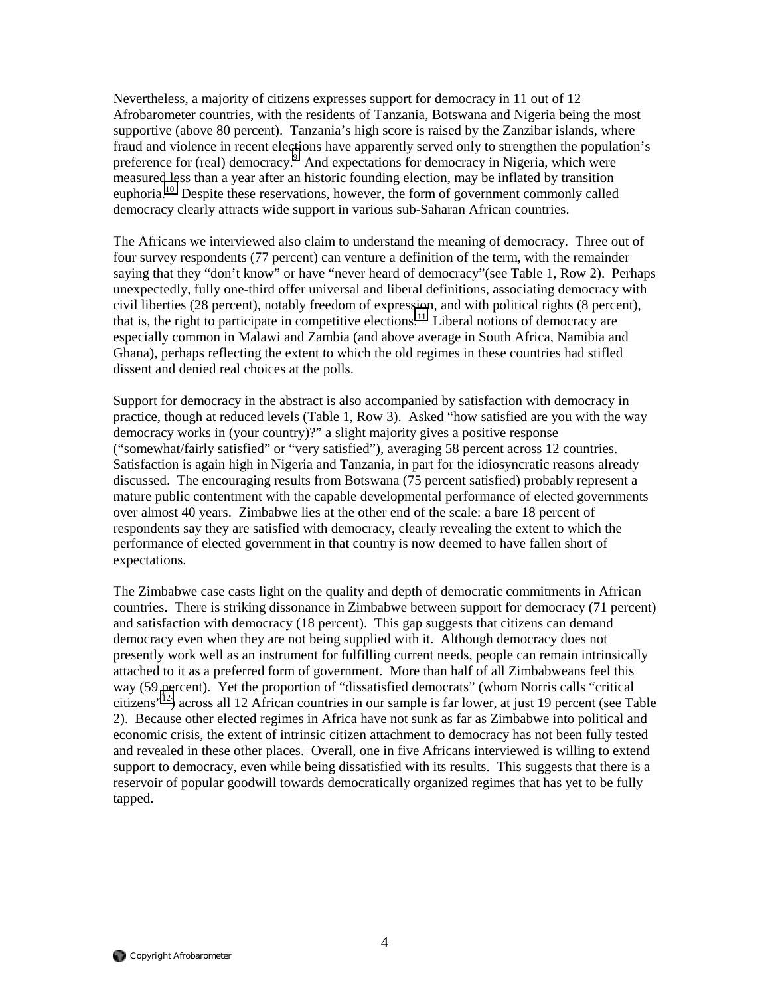Nevertheless, a majority of citizens expresses support for democracy in 11 out of 12 Afrobarometer countries, with the residents of Tanzania, Botswana and Nigeria being the most supportive (above 80 percent). Tanzania's high score is raised by the Zanzibar islands, where fraud and violence in recent elections have apparently served only to strengthen the population's preference for (real) democracy.<sup>9</sup> And expectations for democracy in Nigeria, which were measured less than a year after an historic founding election, may be inflated by transition euphoria.<sup>10</sup> Despite these reservations, however, the form of government commonly called democracy clearly attracts wide support in various sub-Saharan African countries.

The Africans we interviewed also claim to understand the meaning of democracy. Three out of four survey respondents (77 percent) can venture a definition of the term, with the remainder saying that they "don't know" or have "never heard of democracy" (see Table 1, Row 2). Perhaps unexpectedly, fully one-third offer universal and liberal definitions, associating democracy with civil liberties (28 percent), notably freedom of expression, and with political rights (8 percent), that is, the right to participate in competitive elections.<sup>11</sup> Liberal notions of democracy are especially common in Malawi and Zambia (and above average in South Africa, Namibia and Ghana), perhaps reflecting the extent to which the old regimes in these countries had stifled dissent and denied real choices at the polls.

Support for democracy in the abstract is also accompanied by satisfaction with democracy in practice, though at reduced levels (Table 1, Row 3). Asked "how satisfied are you with the way democracy works in (your country)?" a slight majority gives a positive response ("somewhat/fairly satisfied" or "very satisfied"), averaging 58 percent across 12 countries. Satisfaction is again high in Nigeria and Tanzania, in part for the idiosyncratic reasons already discussed. The encouraging results from Botswana (75 percent satisfied) probably represent a mature public contentment with the capable developmental performance of elected governments over almost 40 years. Zimbabwe lies at the other end of the scale: a bare 18 percent of respondents say they are satisfied with democracy, clearly revealing the extent to which the performance of elected government in that country is now deemed to have fallen short of expectations.

The Zimbabwe case casts light on the quality and depth of democratic commitments in African countries. There is striking dissonance in Zimbabwe between support for democracy (71 percent) and satisfaction with democracy (18 percent). This gap suggests that citizens can demand democracy even when they are not being supplied with it. Although democracy does not presently work well as an instrument for fulfilling current needs, people can remain intrinsically attached to it as a preferred form of government. More than half of all Zimbabweans feel this way (59 percent). Yet the proportion of "dissatisfied democrats" (whom Norris calls "critical citizens["12\)](#page-24-0) across all 12 African countries in our sample is far lower, at just 19 percent (see Table 2). Because other elected regimes in Africa have not sunk as far as Zimbabwe into political and economic crisis, the extent of intrinsic citizen attachment to democracy has not been fully tested and revealed in these other places. Overall, one in five Africans interviewed is willing to extend support to democracy, even while being dissatisfied with its results. This suggests that there is a reservoir of popular goodwill towards democratically organized regimes that has yet to be fully tapped.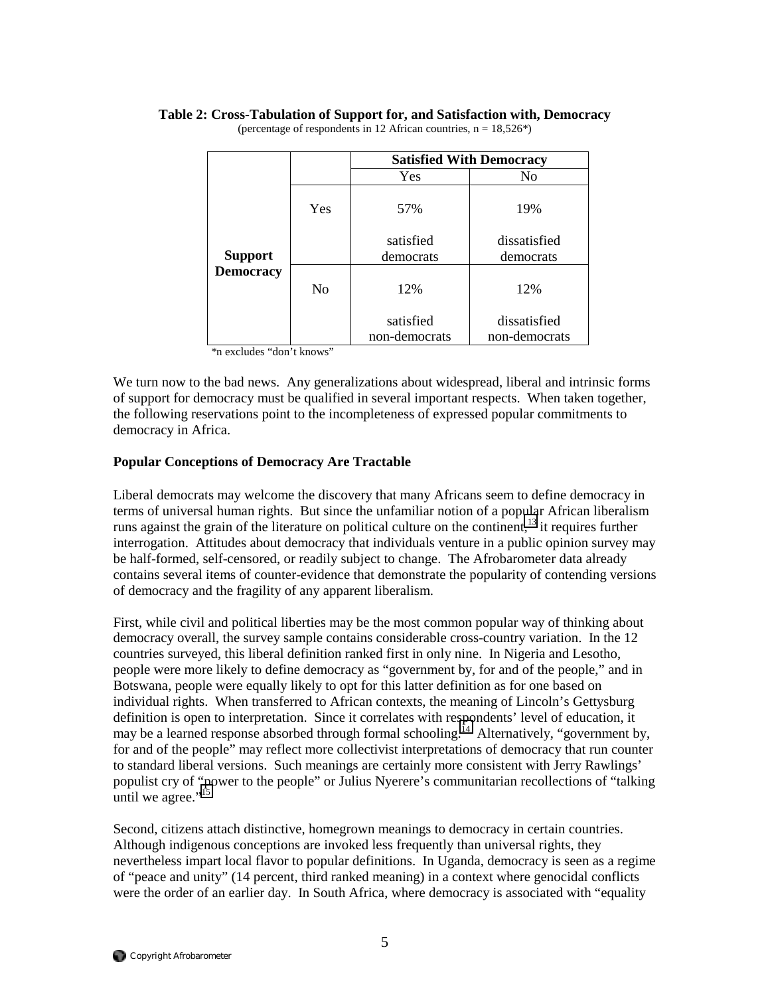|                  |                | <b>Satisfied With Democracy</b> |                               |  |  |  |  |  |  |
|------------------|----------------|---------------------------------|-------------------------------|--|--|--|--|--|--|
|                  |                | Yes                             | No                            |  |  |  |  |  |  |
|                  | Yes            | 57%                             | 19%                           |  |  |  |  |  |  |
| <b>Support</b>   |                | satisfied<br>democrats          | dissatisfied<br>democrats     |  |  |  |  |  |  |
| <b>Democracy</b> | N <sub>0</sub> | 12%                             | 12%                           |  |  |  |  |  |  |
|                  |                | satisfied<br>non-democrats      | dissatisfied<br>non-democrats |  |  |  |  |  |  |

## **Table 2: Cross-Tabulation of Support for, and Satisfaction with, Democracy**

(percentage of respondents in 12 African countries,  $n = 18,526^*$ )

\*n excludes "don't knows"

We turn now to the bad news. Any generalizations about widespread, liberal and intrinsic forms of support for democracy must be qualified in several important respects. When taken together, the following reservations point to the incompleteness of expressed popular commitments to democracy in Africa.

#### **Popular Conceptions of Democracy Are Tractable**

Liberal democrats may welcome the discovery that many Africans seem to define democracy in terms of universal human rights. But since the unfamiliar notion of a popular African liberalism runs against the grain of the literature on political culture on the continent,<sup>13</sup> it requires further interrogation. Attitudes about democracy that individuals venture in a public opinion survey may be half-formed, self-censored, or readily subject to change. The Afrobarometer data already contains several items of counter-evidence that demonstrate the popularity of contending versions of democracy and the fragility of any apparent liberalism.

First, while civil and political liberties may be the most common popular way of thinking about democracy overall, the survey sample contains considerable cross-country variation. In the 12 countries surveyed, this liberal definition ranked first in only nine. In Nigeria and Lesotho, people were more likely to define democracy as "government by, for and of the people," and in Botswana, people were equally likely to opt for this latter definition as for one based on individual rights. When transferred to African contexts, the meaning of Lincoln's Gettysburg definition is open to interpretation. Since it correlates with respondents' level of education, it may be a learned response absorbed through formal schooling.<sup>14</sup> Alternatively, "government by, for and of the people" may reflect more collectivist interpretations of democracy that run counter to standard liberal versions. Such meanings are certainly more consistent with Jerry Rawlings' populist cry of "power to the people" or Julius Nyerere's communitarian recollections of "talking until we agree." $15$ 

Second, citizens attach distinctive, homegrown meanings to democracy in certain countries. Although indigenous conceptions are invoked less frequently than universal rights, they nevertheless impart local flavor to popular definitions. In Uganda, democracy is seen as a regime of "peace and unity" (14 percent, third ranked meaning) in a context where genocidal conflicts were the order of an earlier day. In South Africa, where democracy is associated with "equality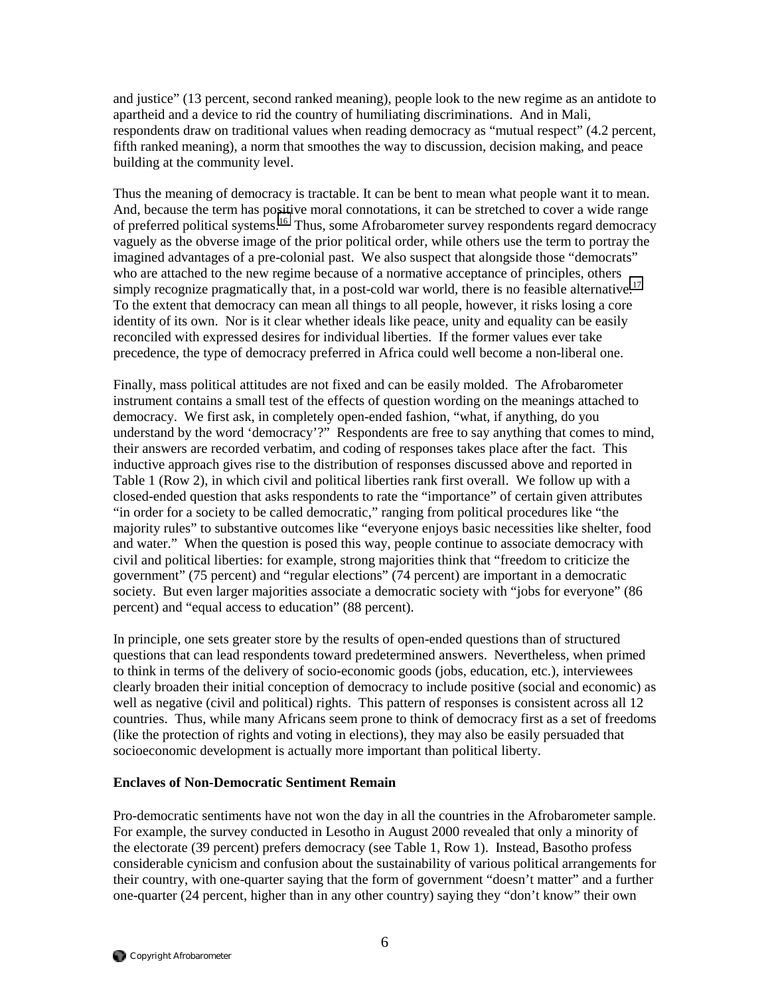and justice" (13 percent, second ranked meaning), people look to the new regime as an antidote to apartheid and a device to rid the country of humiliating discriminations. And in Mali, respondents draw on traditional values when reading democracy as "mutual respect" (4.2 percent, fifth ranked meaning), a norm that smoothes the way to discussion, decision making, and peace building at the community level.

Thus the meaning of democracy is tractable. It can be bent to mean what people want it to mean. And, because the term has positive moral connotations, it can be stretched to cover a wide range of preferred political systems.[16](#page-24-0) Thus, some Afrobarometer survey respondents regard democracy vaguely as the obverse image of the prior political order, while others use the term to portray the imagined advantages of a pre-colonial past. We also suspect that alongside those "democrats" who are attached to the new regime because of a normative acceptance of principles, others simply recognize pragmatically that, in a post-cold war world, there is no feasible alternative.<sup>17</sup> To the extent that democracy can mean all things to all people, however, it risks losing a core identity of its own. Nor is it clear whether ideals like peace, unity and equality can be easily reconciled with expressed desires for individual liberties. If the former values ever take precedence, the type of democracy preferred in Africa could well become a non-liberal one.

Finally, mass political attitudes are not fixed and can be easily molded. The Afrobarometer instrument contains a small test of the effects of question wording on the meanings attached to democracy. We first ask, in completely open-ended fashion, "what, if anything, do you understand by the word 'democracy'?" Respondents are free to say anything that comes to mind, their answers are recorded verbatim, and coding of responses takes place after the fact. This inductive approach gives rise to the distribution of responses discussed above and reported in Table 1 (Row 2), in which civil and political liberties rank first overall. We follow up with a closed-ended question that asks respondents to rate the "importance" of certain given attributes "in order for a society to be called democratic," ranging from political procedures like "the majority rules" to substantive outcomes like "everyone enjoys basic necessities like shelter, food and water." When the question is posed this way, people continue to associate democracy with civil and political liberties: for example, strong majorities think that "freedom to criticize the government" (75 percent) and "regular elections" (74 percent) are important in a democratic society. But even larger majorities associate a democratic society with "jobs for everyone" (86 percent) and "equal access to education" (88 percent).

In principle, one sets greater store by the results of open-ended questions than of structured questions that can lead respondents toward predetermined answers. Nevertheless, when primed to think in terms of the delivery of socio-economic goods (jobs, education, etc.), interviewees clearly broaden their initial conception of democracy to include positive (social and economic) as well as negative (civil and political) rights. This pattern of responses is consistent across all 12 countries. Thus, while many Africans seem prone to think of democracy first as a set of freedoms (like the protection of rights and voting in elections), they may also be easily persuaded that socioeconomic development is actually more important than political liberty.

#### **Enclaves of Non-Democratic Sentiment Remain**

Pro-democratic sentiments have not won the day in all the countries in the Afrobarometer sample. For example, the survey conducted in Lesotho in August 2000 revealed that only a minority of the electorate (39 percent) prefers democracy (see Table 1, Row 1). Instead, Basotho profess considerable cynicism and confusion about the sustainability of various political arrangements for their country, with one-quarter saying that the form of government "doesn't matter" and a further one-quarter (24 percent, higher than in any other country) saying they "don't know" their own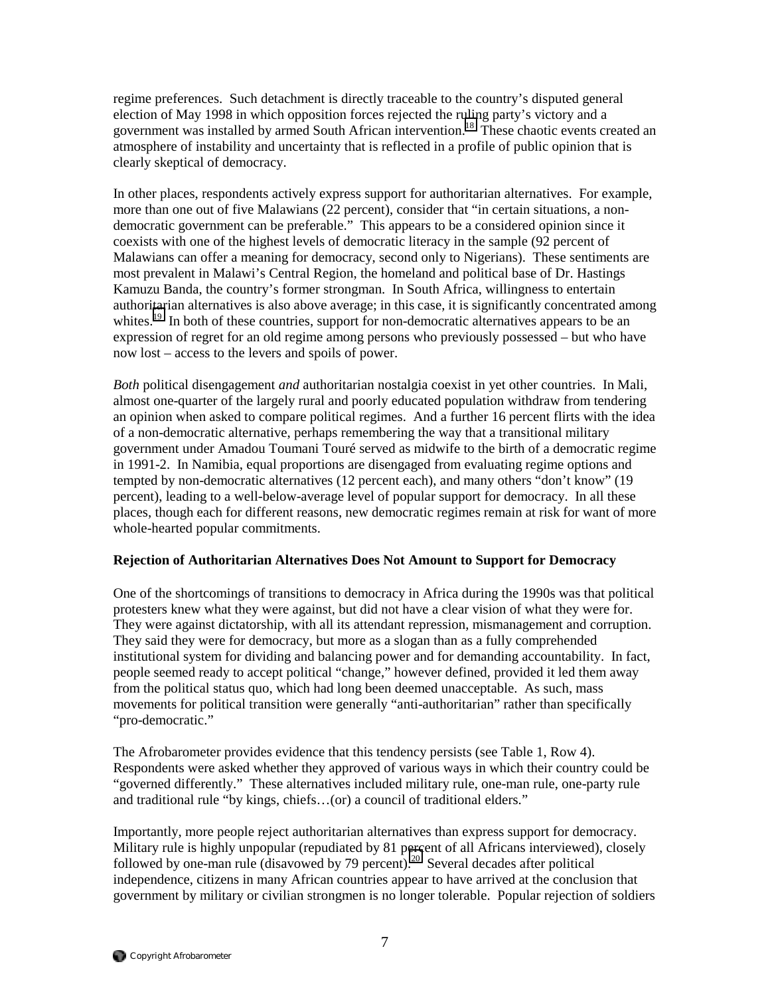regime preferences. Such detachment is directly traceable to the country's disputed general election of May 1998 in which opposition forces rejected the ruling party's victory and a government was installed by armed South African intervention.<sup>18</sup> These chaotic events created an atmosphere of instability and uncertainty that is reflected in a profile of public opinion that is clearly skeptical of democracy.

In other places, respondents actively express support for authoritarian alternatives. For example, more than one out of five Malawians (22 percent), consider that "in certain situations, a nondemocratic government can be preferable." This appears to be a considered opinion since it coexists with one of the highest levels of democratic literacy in the sample (92 percent of Malawians can offer a meaning for democracy, second only to Nigerians). These sentiments are most prevalent in Malawi's Central Region, the homeland and political base of Dr. Hastings Kamuzu Banda, the country's former strongman. In South Africa, willingness to entertain authoritarian alternatives is also above average; in this case, it is significantly concentrated among whites.<sup>19</sup> In both of these countries, support for non-democratic alternatives appears to be an expression of regret for an old regime among persons who previously possessed – but who have now lost – access to the levers and spoils of power.

*Both* political disengagement *and* authoritarian nostalgia coexist in yet other countries. In Mali, almost one-quarter of the largely rural and poorly educated population withdraw from tendering an opinion when asked to compare political regimes. And a further 16 percent flirts with the idea of a non-democratic alternative, perhaps remembering the way that a transitional military government under Amadou Toumani Touré served as midwife to the birth of a democratic regime in 1991-2. In Namibia, equal proportions are disengaged from evaluating regime options and tempted by non-democratic alternatives (12 percent each), and many others "don't know" (19 percent), leading to a well-below-average level of popular support for democracy. In all these places, though each for different reasons, new democratic regimes remain at risk for want of more whole-hearted popular commitments.

## **Rejection of Authoritarian Alternatives Does Not Amount to Support for Democracy**

One of the shortcomings of transitions to democracy in Africa during the 1990s was that political protesters knew what they were against, but did not have a clear vision of what they were for. They were against dictatorship, with all its attendant repression, mismanagement and corruption. They said they were for democracy, but more as a slogan than as a fully comprehended institutional system for dividing and balancing power and for demanding accountability. In fact, people seemed ready to accept political "change," however defined, provided it led them away from the political status quo, which had long been deemed unacceptable. As such, mass movements for political transition were generally "anti-authoritarian" rather than specifically "pro-democratic."

The Afrobarometer provides evidence that this tendency persists (see Table 1, Row 4). Respondents were asked whether they approved of various ways in which their country could be "governed differently." These alternatives included military rule, one-man rule, one-party rule and traditional rule "by kings, chiefs…(or) a council of traditional elders."

Importantly, more people reject authoritarian alternatives than express support for democracy. Military rule is highly unpopular (repudiated by 81 percent of all Africans interviewed), closely followed by one-man rule (disavowed by 79 percent).<sup>20</sup> Several decades after political independence, citizens in many African countries appear to have arrived at the conclusion that government by military or civilian strongmen is no longer tolerable. Popular rejection of soldiers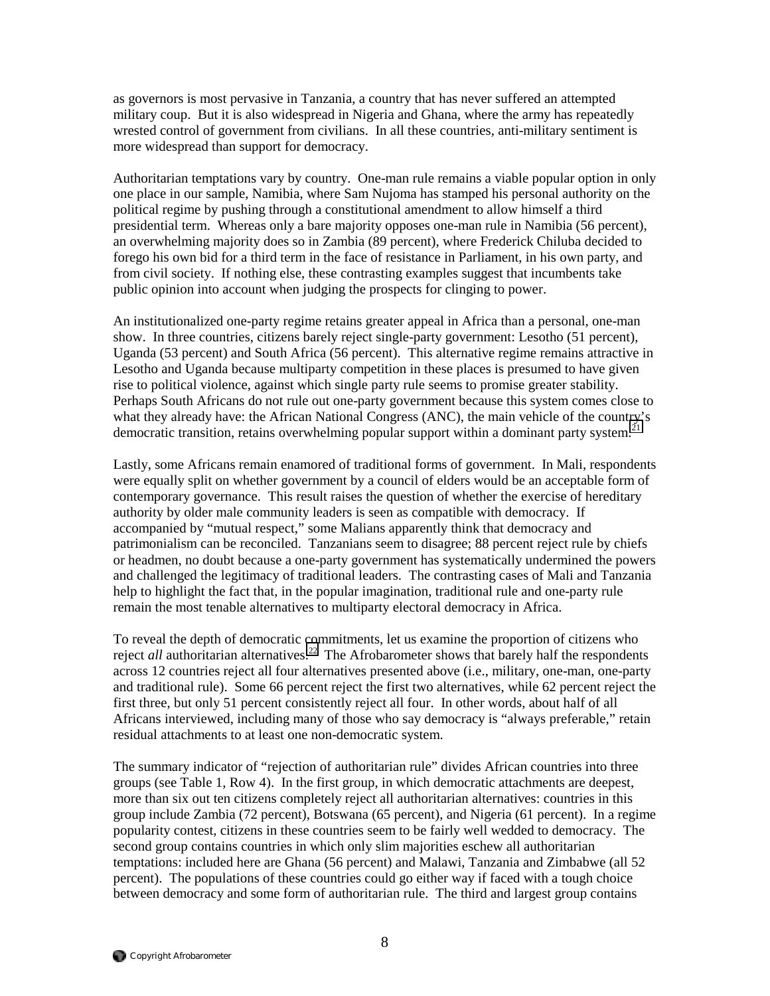as governors is most pervasive in Tanzania, a country that has never suffered an attempted military coup. But it is also widespread in Nigeria and Ghana, where the army has repeatedly wrested control of government from civilians. In all these countries, anti-military sentiment is more widespread than support for democracy.

Authoritarian temptations vary by country. One-man rule remains a viable popular option in only one place in our sample, Namibia, where Sam Nujoma has stamped his personal authority on the political regime by pushing through a constitutional amendment to allow himself a third presidential term. Whereas only a bare majority opposes one-man rule in Namibia (56 percent), an overwhelming majority does so in Zambia (89 percent), where Frederick Chiluba decided to forego his own bid for a third term in the face of resistance in Parliament, in his own party, and from civil society. If nothing else, these contrasting examples suggest that incumbents take public opinion into account when judging the prospects for clinging to power.

An institutionalized one-party regime retains greater appeal in Africa than a personal, one-man show. In three countries, citizens barely reject single-party government: Lesotho (51 percent), Uganda (53 percent) and South Africa (56 percent). This alternative regime remains attractive in Lesotho and Uganda because multiparty competition in these places is presumed to have given rise to political violence, against which single party rule seems to promise greater stability. Perhaps South Africans do not rule out one-party government because this system comes close to what they already have: the African National Congress (ANC), the main vehicle of the country's democratic transition, retains overwhelming popular support within a dominant party system.<sup>[21](#page-24-0)</sup>

Lastly, some Africans remain enamored of traditional forms of government. In Mali, respondents were equally split on whether government by a council of elders would be an acceptable form of contemporary governance. This result raises the question of whether the exercise of hereditary authority by older male community leaders is seen as compatible with democracy. If accompanied by "mutual respect," some Malians apparently think that democracy and patrimonialism can be reconciled. Tanzanians seem to disagree; 88 percent reject rule by chiefs or headmen, no doubt because a one-party government has systematically undermined the powers and challenged the legitimacy of traditional leaders. The contrasting cases of Mali and Tanzania help to highlight the fact that, in the popular imagination, traditional rule and one-party rule remain the most tenable alternatives to multiparty electoral democracy in Africa.

To reveal the depth of democratic commitments, let us examine the proportion of citizens who reject *all* authoritarian alternatives.<sup>22</sup> The Afrobarometer shows that barely half the respondents across 12 countries reject all four alternatives presented above (i.e., military, one-man, one-party and traditional rule). Some 66 percent reject the first two alternatives, while 62 percent reject the first three, but only 51 percent consistently reject all four. In other words, about half of all Africans interviewed, including many of those who say democracy is "always preferable," retain residual attachments to at least one non-democratic system.

The summary indicator of "rejection of authoritarian rule" divides African countries into three groups (see Table 1, Row 4). In the first group, in which democratic attachments are deepest, more than six out ten citizens completely reject all authoritarian alternatives: countries in this group include Zambia (72 percent), Botswana (65 percent), and Nigeria (61 percent). In a regime popularity contest, citizens in these countries seem to be fairly well wedded to democracy. The second group contains countries in which only slim majorities eschew all authoritarian temptations: included here are Ghana (56 percent) and Malawi, Tanzania and Zimbabwe (all 52 percent). The populations of these countries could go either way if faced with a tough choice between democracy and some form of authoritarian rule. The third and largest group contains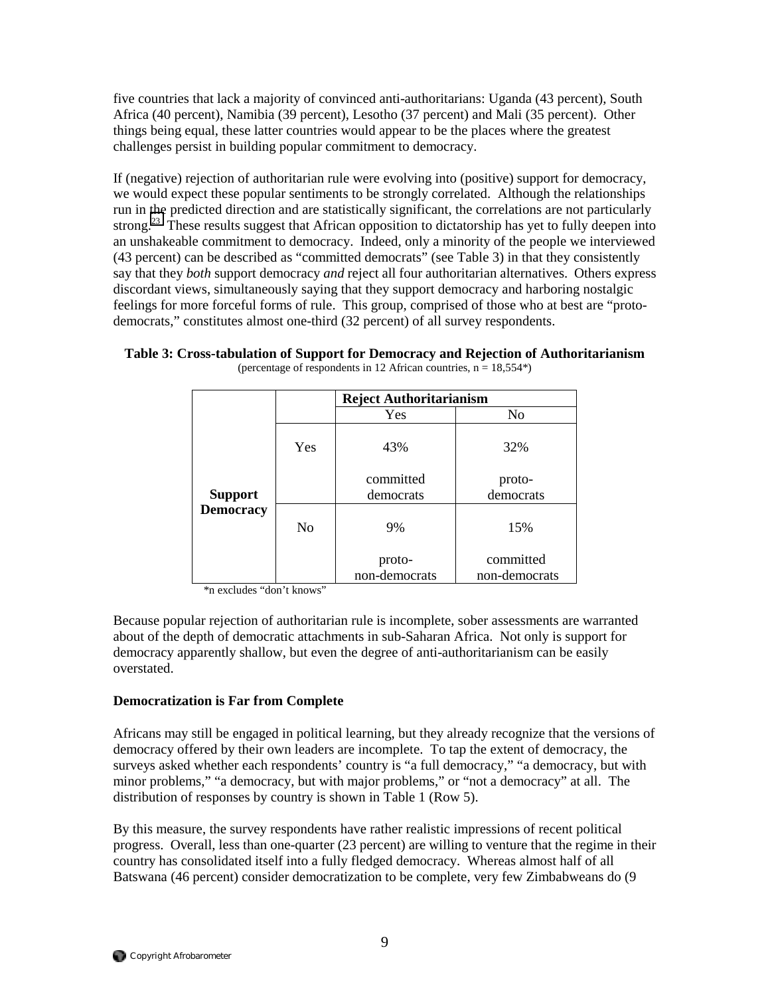five countries that lack a majority of convinced anti-authoritarians: Uganda (43 percent), South Africa (40 percent), Namibia (39 percent), Lesotho (37 percent) and Mali (35 percent). Other things being equal, these latter countries would appear to be the places where the greatest challenges persist in building popular commitment to democracy.

If (negative) rejection of authoritarian rule were evolving into (positive) support for democracy, we would expect these popular sentiments to be strongly correlated. Although the relationships run in the predicted direction and are statistically significant, the correlations are not particularly strong.<sup>23</sup> These results suggest that African opposition to dictatorship has yet to fully deepen into an unshakeable commitment to democracy. Indeed, only a minority of the people we interviewed (43 percent) can be described as "committed democrats" (see Table 3) in that they consistently say that they *both* support democracy *and* reject all four authoritarian alternatives. Others express discordant views, simultaneously saying that they support democracy and harboring nostalgic feelings for more forceful forms of rule. This group, comprised of those who at best are "protodemocrats," constitutes almost one-third (32 percent) of all survey respondents.

|  |  | Table 3: Cross-tabulation of Support for Democracy and Rejection of Authoritarianism |
|--|--|--------------------------------------------------------------------------------------|
|  |  |                                                                                      |

|                  |                | <b>Reject Authoritarianism</b> |               |  |  |  |  |  |  |
|------------------|----------------|--------------------------------|---------------|--|--|--|--|--|--|
|                  |                | Yes                            | No            |  |  |  |  |  |  |
|                  | Yes            | 43%                            | 32%           |  |  |  |  |  |  |
|                  |                | committed                      | proto-        |  |  |  |  |  |  |
| <b>Support</b>   |                | democrats                      | democrats     |  |  |  |  |  |  |
| <b>Democracy</b> | N <sub>0</sub> | 9%                             | 15%           |  |  |  |  |  |  |
|                  |                | proto-                         | committed     |  |  |  |  |  |  |
|                  |                | non-democrats                  | non-democrats |  |  |  |  |  |  |

(percentage of respondents in 12 African countries,  $n = 18,554^*$ )

\*n excludes "don't knows"

Because popular rejection of authoritarian rule is incomplete, sober assessments are warranted about of the depth of democratic attachments in sub-Saharan Africa. Not only is support for democracy apparently shallow, but even the degree of anti-authoritarianism can be easily overstated.

#### **Democratization is Far from Complete**

Africans may still be engaged in political learning, but they already recognize that the versions of democracy offered by their own leaders are incomplete. To tap the extent of democracy, the surveys asked whether each respondents' country is "a full democracy," "a democracy, but with minor problems," "a democracy, but with major problems," or "not a democracy" at all. The distribution of responses by country is shown in Table 1 (Row 5).

By this measure, the survey respondents have rather realistic impressions of recent political progress. Overall, less than one-quarter (23 percent) are willing to venture that the regime in their country has consolidated itself into a fully fledged democracy. Whereas almost half of all Batswana (46 percent) consider democratization to be complete, very few Zimbabweans do (9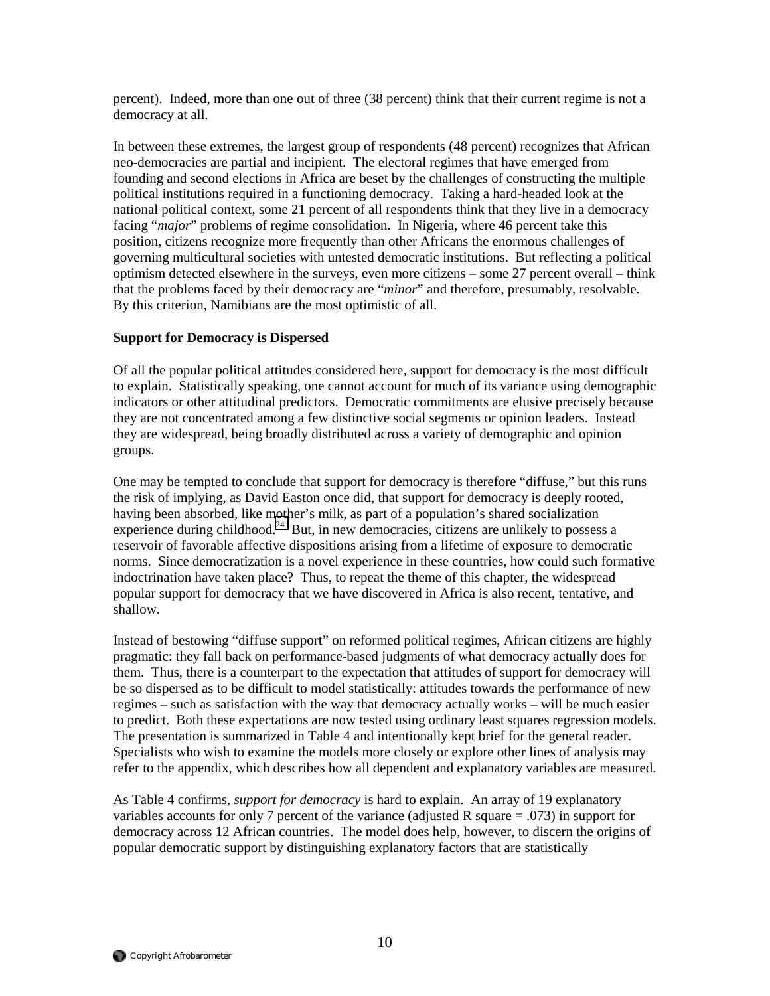percent). Indeed, more than one out of three (38 percent) think that their current regime is not a democracy at all.

In between these extremes, the largest group of respondents (48 percent) recognizes that African neo-democracies are partial and incipient. The electoral regimes that have emerged from founding and second elections in Africa are beset by the challenges of constructing the multiple political institutions required in a functioning democracy. Taking a hard-headed look at the national political context, some 21 percent of all respondents think that they live in a democracy facing "*major*" problems of regime consolidation. In Nigeria, where 46 percent take this position, citizens recognize more frequently than other Africans the enormous challenges of governing multicultural societies with untested democratic institutions. But reflecting a political optimism detected elsewhere in the surveys, even more citizens – some 27 percent overall – think that the problems faced by their democracy are "*minor*" and therefore, presumably, resolvable. By this criterion, Namibians are the most optimistic of all.

#### **Support for Democracy is Dispersed**

Of all the popular political attitudes considered here, support for democracy is the most difficult to explain. Statistically speaking, one cannot account for much of its variance using demographic indicators or other attitudinal predictors. Democratic commitments are elusive precisely because they are not concentrated among a few distinctive social segments or opinion leaders. Instead they are widespread, being broadly distributed across a variety of demographic and opinion groups.

One may be tempted to conclude that support for democracy is therefore "diffuse," but this runs the risk of implying, as David Easton once did, that support for democracy is deeply rooted, having been absorbed, like mother's milk, as part of a population's shared socialization experience during childhood.<sup>24</sup> But, in new democracies, citizens are unlikely to possess a reservoir of favorable affective dispositions arising from a lifetime of exposure to democratic norms. Since democratization is a novel experience in these countries, how could such formative indoctrination have taken place? Thus, to repeat the theme of this chapter, the widespread popular support for democracy that we have discovered in Africa is also recent, tentative, and shallow.

Instead of bestowing "diffuse support" on reformed political regimes, African citizens are highly pragmatic: they fall back on performance-based judgments of what democracy actually does for them. Thus, there is a counterpart to the expectation that attitudes of support for democracy will be so dispersed as to be difficult to model statistically: attitudes towards the performance of new regimes – such as satisfaction with the way that democracy actually works – will be much easier to predict. Both these expectations are now tested using ordinary least squares regression models. The presentation is summarized in Table 4 and intentionally kept brief for the general reader. Specialists who wish to examine the models more closely or explore other lines of analysis may refer to the appendix, which describes how all dependent and explanatory variables are measured.

As Table 4 confirms, *support for democracy* is hard to explain. An array of 19 explanatory variables accounts for only 7 percent of the variance (adjusted R square = .073) in support for democracy across 12 African countries. The model does help, however, to discern the origins of popular democratic support by distinguishing explanatory factors that are statistically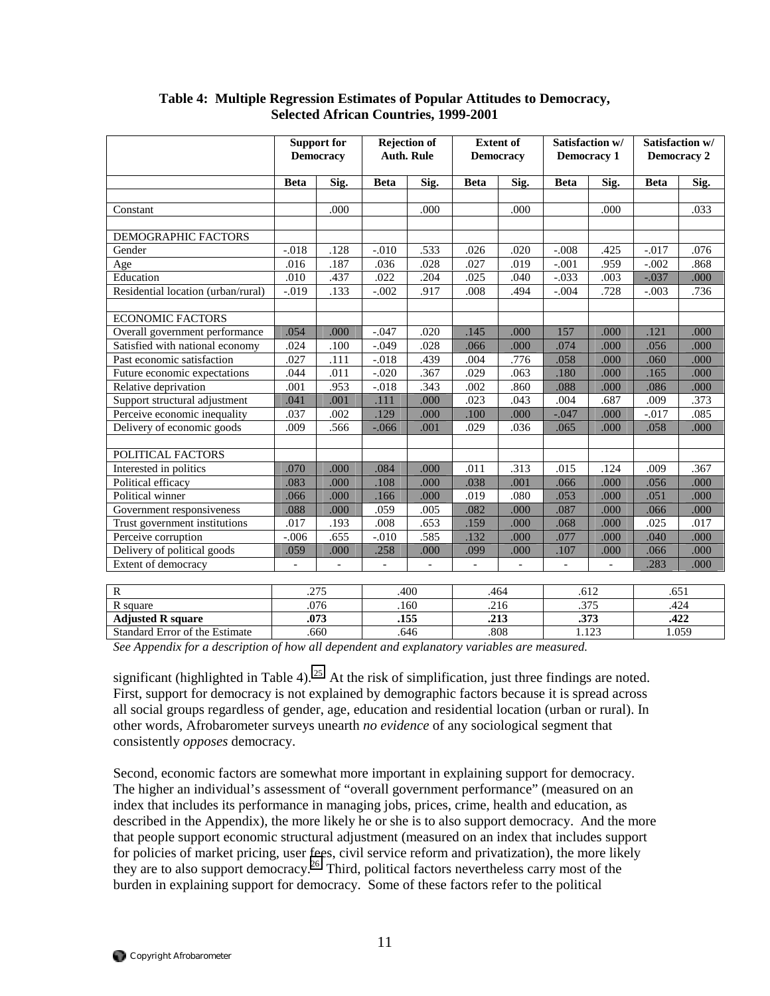|                                    | <b>Support for</b><br><b>Democracy</b> |                | <b>Rejection of</b><br><b>Auth. Rule</b> |          | <b>Extent of</b><br><b>Democracy</b> |                | Satisfaction w/<br><b>Democracy 1</b> |                | Satisfaction w/<br><b>Democracy 2</b> |      |
|------------------------------------|----------------------------------------|----------------|------------------------------------------|----------|--------------------------------------|----------------|---------------------------------------|----------------|---------------------------------------|------|
|                                    | <b>Beta</b>                            | Sig.           | <b>Beta</b>                              | Sig.     | <b>Beta</b>                          | Sig.           | <b>Beta</b>                           | Sig.           | <b>Beta</b>                           | Sig. |
|                                    |                                        |                |                                          |          |                                      |                |                                       |                |                                       |      |
| Constant                           |                                        | .000           |                                          | .000     |                                      | .000           |                                       | .000           |                                       | .033 |
| DEMOGRAPHIC FACTORS                |                                        |                |                                          |          |                                      |                |                                       |                |                                       |      |
| Gender                             | $-.018$                                | .128           | $-.010$                                  | .533     | .026                                 | .020           | $-.008$                               | .425           | $-.017$                               | .076 |
| Age                                | .016                                   | .187           | .036                                     | .028     | .027                                 | .019           | $-.001$                               | .959           | $-.002$                               | .868 |
| Education                          | .010                                   | .437           | .022                                     | .204     | .025                                 | .040           | $-.033$                               | .003           | $-.037$                               | .000 |
| Residential location (urban/rural) | $-.019$                                | .133           | $-.002$                                  | .917     | .008                                 | .494           | $-.004$                               | .728           | $-.003$                               | .736 |
|                                    |                                        |                |                                          |          |                                      |                |                                       |                |                                       |      |
| <b>ECONOMIC FACTORS</b>            |                                        |                |                                          |          |                                      |                |                                       |                |                                       |      |
| Overall government performance     | .054                                   | .000           | $-.047$                                  | .020     | .145                                 | .000           | 157                                   | .000           | .121                                  | .000 |
| Satisfied with national economy    | .024                                   | .100           | $-.049$                                  | .028     | .066                                 | .000           | .074                                  | .000           | .056                                  | .000 |
| Past economic satisfaction         | .027                                   | .111           | $-.018$                                  | .439     | .004                                 | .776           | .058                                  | .000           | .060                                  | .000 |
| Future economic expectations       | .044                                   | .011           | $-0.020$                                 | .367     | .029                                 | .063           | .180                                  | .000           | .165                                  | .000 |
| Relative deprivation               | .001                                   | .953           | $-.018$                                  | .343     | .002                                 | .860           | .088                                  | .000           | .086                                  | .000 |
| Support structural adjustment      | .041                                   | .001           | .111                                     | .000     | .023                                 | .043           | .004                                  | .687           | .009                                  | .373 |
| Perceive economic inequality       | .037                                   | .002           | .129                                     | .000     | .100                                 | .000           | $-.047$                               | .000           | $-.017$                               | .085 |
| Delivery of economic goods         | .009                                   | .566           | $-0.066$                                 | .001     | .029                                 | .036           | .065                                  | .000           | .058                                  | .000 |
|                                    |                                        |                |                                          |          |                                      |                |                                       |                |                                       |      |
| POLITICAL FACTORS                  |                                        |                |                                          |          |                                      |                |                                       |                |                                       |      |
| Interested in politics             | .070                                   | .000           | .084                                     | .000     | .011                                 | .313           | .015                                  | .124           | .009                                  | .367 |
| Political efficacy                 | .083                                   | .000           | .108                                     | .000     | .038                                 | .001           | .066                                  | .000           | .056                                  | .000 |
| Political winner                   | .066                                   | .000           | .166                                     | .000     | .019                                 | .080           | .053                                  | .000           | .051                                  | .000 |
| Government responsiveness          | .088                                   | .000           | .059                                     | .005     | .082                                 | .000           | .087                                  | .000           | .066                                  | .000 |
| Trust government institutions      | .017                                   | .193           | .008                                     | .653     | .159                                 | .000           | .068                                  | .000           | .025                                  | .017 |
| Perceive corruption                | $-.006$                                | .655           | $-.010$                                  | .585     | .132                                 | .000           | .077                                  | .000           | .040                                  | .000 |
| Delivery of political goods        | .059                                   | .000           | .258                                     | .000     | .099                                 | .000           | .107                                  | .000           | .066                                  | .000 |
| Extent of democracy                | $\blacksquare$                         | $\overline{a}$ | $\overline{a}$                           | $\equiv$ | $\overline{a}$                       | $\overline{a}$ | $\overline{a}$                        | $\overline{a}$ | .283                                  | .000 |
|                                    |                                        |                |                                          |          |                                      |                |                                       |                |                                       |      |
| ${\bf R}$                          | .275                                   |                | .400                                     |          | .464                                 |                | .612                                  |                | .651                                  |      |
| R square                           | .076                                   |                | .160                                     |          | .216                                 |                | .375                                  |                | .424                                  |      |
| <b>Adjusted R square</b>           |                                        | .073           | .155                                     |          |                                      | .213           |                                       | .373           | .422                                  |      |
| Standard Error of the Estimate     |                                        | .660           |                                          | .646     |                                      | .808           | 1.123                                 |                | 1.059                                 |      |

#### **Table 4: Multiple Regression Estimates of Popular Attitudes to Democracy, Selected African Countries, 1999-2001**

*See Appendix for a description of how all dependent and explanatory variables are measured.* 

significant (highlighted in Table 4).<sup>25</sup> At the risk of simplification, just three findings are noted. First, support for democracy is not explained by demographic factors because it is spread across all social groups regardless of gender, age, education and residential location (urban or rural). In other words, Afrobarometer surveys unearth *no evidence* of any sociological segment that consistently *opposes* democracy.

Second, economic factors are somewhat more important in explaining support for democracy. The higher an individual's assessment of "overall government performance" (measured on an index that includes its performance in managing jobs, prices, crime, health and education, as described in the Appendix), the more likely he or she is to also support democracy. And the more that people support economic structural adjustment (measured on an index that includes support for policies of market pricing, user fees, civil service reform and privatization), the more likely they are to also support democracy.<sup>26</sup> Third, political factors nevertheless carry most of the burden in explaining support for democracy. Some of these factors refer to the political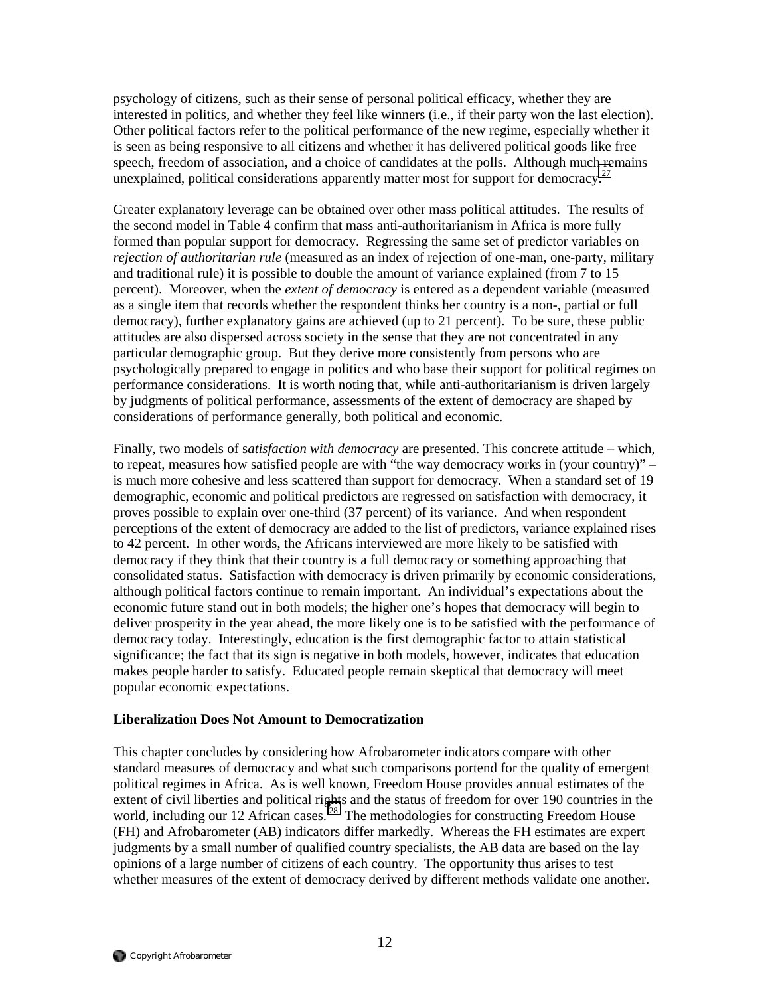psychology of citizens, such as their sense of personal political efficacy, whether they are interested in politics, and whether they feel like winners (i.e., if their party won the last election). Other political factors refer to the political performance of the new regime, especially whether it is seen as being responsive to all citizens and whether it has delivered political goods like free speech, freedom of association, and a choice of candidates at the polls. Although much remains unexplained, political considerations apparently matter most for support for democracy.<sup>27</sup>

Greater explanatory leverage can be obtained over other mass political attitudes. The results of the second model in Table 4 confirm that mass anti-authoritarianism in Africa is more fully formed than popular support for democracy. Regressing the same set of predictor variables on *rejection of authoritarian rule* (measured as an index of rejection of one-man, one-party, military and traditional rule) it is possible to double the amount of variance explained (from 7 to 15 percent). Moreover, when the *extent of democracy* is entered as a dependent variable (measured as a single item that records whether the respondent thinks her country is a non-, partial or full democracy), further explanatory gains are achieved (up to 21 percent). To be sure, these public attitudes are also dispersed across society in the sense that they are not concentrated in any particular demographic group. But they derive more consistently from persons who are psychologically prepared to engage in politics and who base their support for political regimes on performance considerations. It is worth noting that, while anti-authoritarianism is driven largely by judgments of political performance, assessments of the extent of democracy are shaped by considerations of performance generally, both political and economic.

Finally, two models of s*atisfaction with democracy* are presented. This concrete attitude – which, to repeat, measures how satisfied people are with "the way democracy works in (your country)" – is much more cohesive and less scattered than support for democracy. When a standard set of 19 demographic, economic and political predictors are regressed on satisfaction with democracy, it proves possible to explain over one-third (37 percent) of its variance. And when respondent perceptions of the extent of democracy are added to the list of predictors, variance explained rises to 42 percent. In other words, the Africans interviewed are more likely to be satisfied with democracy if they think that their country is a full democracy or something approaching that consolidated status. Satisfaction with democracy is driven primarily by economic considerations, although political factors continue to remain important. An individual's expectations about the economic future stand out in both models; the higher one's hopes that democracy will begin to deliver prosperity in the year ahead, the more likely one is to be satisfied with the performance of democracy today. Interestingly, education is the first demographic factor to attain statistical significance; the fact that its sign is negative in both models, however, indicates that education makes people harder to satisfy. Educated people remain skeptical that democracy will meet popular economic expectations.

#### **Liberalization Does Not Amount to Democratization**

This chapter concludes by considering how Afrobarometer indicators compare with other standard measures of democracy and what such comparisons portend for the quality of emergent political regimes in Africa. As is well known, Freedom House provides annual estimates of the extent of civil liberties and political rights and the status of freedom for over 190 countries in the world, including our 12 African cases.<sup>28</sup> The methodologies for constructing Freedom House (FH) and Afrobarometer (AB) indicators differ markedly. Whereas the FH estimates are expert judgments by a small number of qualified country specialists, the AB data are based on the lay opinions of a large number of citizens of each country. The opportunity thus arises to test whether measures of the extent of democracy derived by different methods validate one another.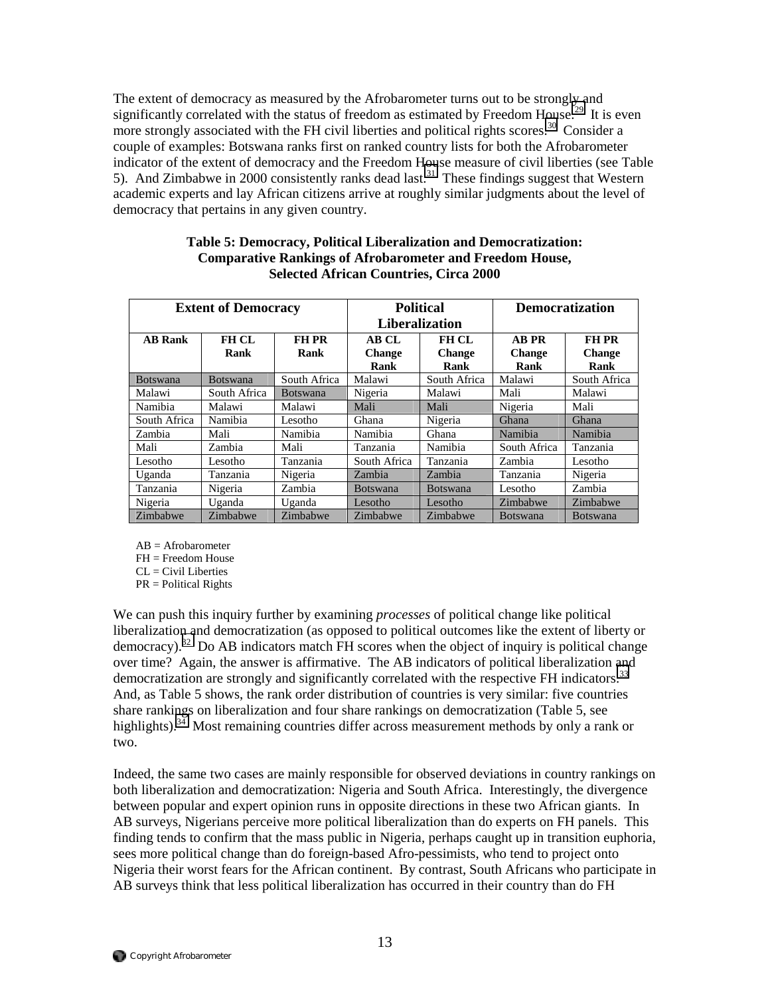The extent of democracy as measured by the Afrobarometer turns out to be strongly and significantly correlated with the status of freedom as estimated by Freedom House.<sup>29</sup> It is even more strongly associated with the FH civil liberties and political rights scores.<sup>30</sup> Consider a couple of examples: Botswana ranks first on ranked country lists for both the Afrobarometer indicator of the extent of democracy and the Freedom House measure of civil liberties (see Table 5). And Zimbabwe in 2000 consistently ranks dead last.<sup>31</sup> These findings suggest that Western academic experts and lay African citizens arrive at roughly similar judgments about the level of democracy that pertains in any given country.

| <b>Extent of Democracy</b> |                      |                      |                                | <b>Political</b><br><b>Liberalization</b> | <b>Democratization</b>                |                                       |  |
|----------------------------|----------------------|----------------------|--------------------------------|-------------------------------------------|---------------------------------------|---------------------------------------|--|
| <b>AB</b> Rank             | <b>FH CL</b><br>Rank | <b>FH PR</b><br>Rank | AB CL<br><b>Change</b><br>Rank | FH CL<br><b>Change</b><br>Rank            | <b>AB PR</b><br><b>Change</b><br>Rank | <b>FH PR</b><br><b>Change</b><br>Rank |  |
| <b>Botswana</b>            | <b>Botswana</b>      | South Africa         | Malawi                         | South Africa                              | Malawi                                | South Africa                          |  |
| Malawi                     | South Africa         | <b>Botswana</b>      | Nigeria                        | Malawi                                    | Mali                                  | Malawi                                |  |
| Namibia                    | Malawi               | Malawi               | Mali                           | Mali                                      | Nigeria                               | Mali                                  |  |
| South Africa               | Namibia              | Lesotho              | Ghana                          | Nigeria                                   | Ghana                                 | Ghana                                 |  |
| Zambia                     | Mali                 | Namibia              | Namibia                        | Ghana                                     | Namibia                               | Namibia                               |  |
| Mali                       | Zambia               | Mali                 | Tanzania                       | Namibia                                   | South Africa                          | Tanzania                              |  |
| Lesotho                    | Lesotho              | Tanzania             | South Africa                   | Tanzania                                  | Zambia                                | Lesotho                               |  |
| Uganda                     | Tanzania             | Nigeria              | Zambia                         | Zambia                                    | Tanzania                              | Nigeria                               |  |
| Tanzania                   | Nigeria              | Zambia               | <b>Botswana</b>                | <b>Botswana</b>                           | Lesotho                               | Zambia                                |  |
| Nigeria                    | Uganda               | Uganda               | Lesotho                        | Lesotho                                   | Zimbabwe                              | Zimbabwe                              |  |
| Zimbabwe                   | Zimbabwe             | Zimbabwe             | Zimbabwe                       | Zimbabwe                                  | Botswana                              | <b>Botswana</b>                       |  |

#### **Table 5: Democracy, Political Liberalization and Democratization: Comparative Rankings of Afrobarometer and Freedom House, Selected African Countries, Circa 2000**

 $AB =$ Afrobarometer

FH = Freedom House

 $CL = Civil$  Liberties

PR = Political Rights

We can push this inquiry further by examining *processes* of political change like political liberalization and democratization (as opposed to political outcomes like the extent of liberty or democracy).<sup>32</sup> Do AB indicators match FH scores when the object of inquiry is political change over time? Again, the answer is affirmative. The AB indicators of political liberalization and democratization are strongly and significantly correlated with the respective FH indicators.<sup>33</sup> And, as Table 5 shows, the rank order distribution of countries is very similar: five countries share rankings on liberalization and four share rankings on democratization (Table 5, see highlights).<sup>34</sup> Most remaining countries differ across measurement methods by only a rank or two.

Indeed, the same two cases are mainly responsible for observed deviations in country rankings on both liberalization and democratization: Nigeria and South Africa. Interestingly, the divergence between popular and expert opinion runs in opposite directions in these two African giants. In AB surveys, Nigerians perceive more political liberalization than do experts on FH panels. This finding tends to confirm that the mass public in Nigeria, perhaps caught up in transition euphoria, sees more political change than do foreign-based Afro-pessimists, who tend to project onto Nigeria their worst fears for the African continent. By contrast, South Africans who participate in AB surveys think that less political liberalization has occurred in their country than do FH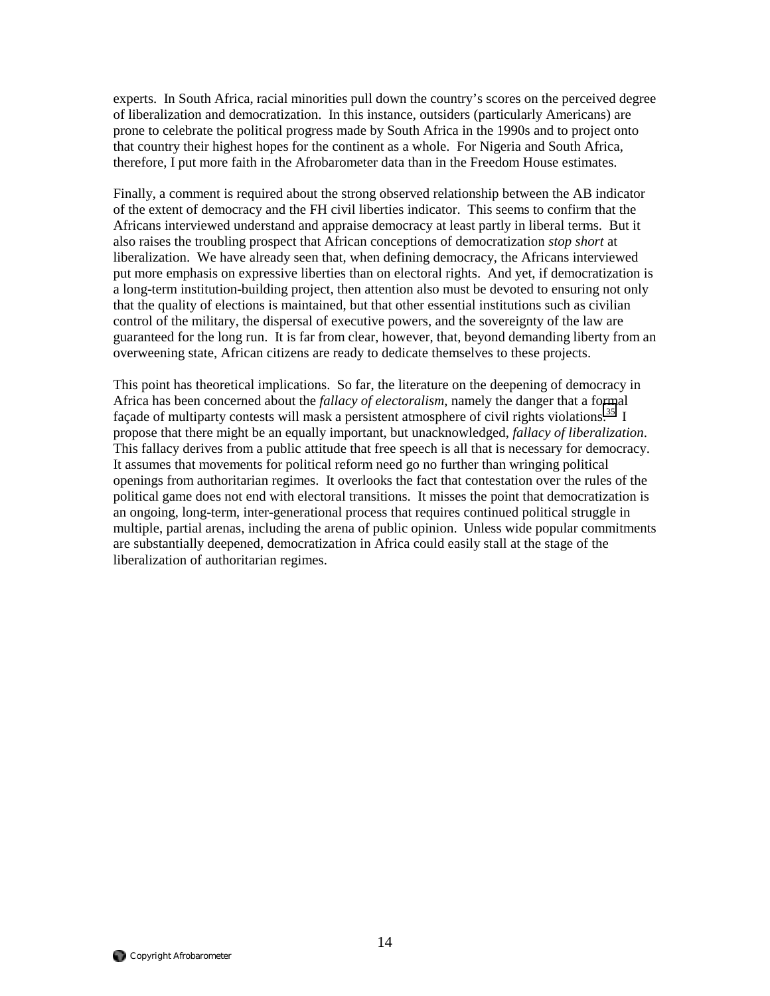experts. In South Africa, racial minorities pull down the country's scores on the perceived degree of liberalization and democratization. In this instance, outsiders (particularly Americans) are prone to celebrate the political progress made by South Africa in the 1990s and to project onto that country their highest hopes for the continent as a whole. For Nigeria and South Africa, therefore, I put more faith in the Afrobarometer data than in the Freedom House estimates.

Finally, a comment is required about the strong observed relationship between the AB indicator of the extent of democracy and the FH civil liberties indicator. This seems to confirm that the Africans interviewed understand and appraise democracy at least partly in liberal terms. But it also raises the troubling prospect that African conceptions of democratization *stop short* at liberalization. We have already seen that, when defining democracy, the Africans interviewed put more emphasis on expressive liberties than on electoral rights. And yet, if democratization is a long-term institution-building project, then attention also must be devoted to ensuring not only that the quality of elections is maintained, but that other essential institutions such as civilian control of the military, the dispersal of executive powers, and the sovereignty of the law are guaranteed for the long run. It is far from clear, however, that, beyond demanding liberty from an overweening state, African citizens are ready to dedicate themselves to these projects.

This point has theoretical implications. So far, the literature on the deepening of democracy in Africa has been concerned about the *fallacy of electoralism*, namely the danger that a formal façade of multiparty contests will mask a persistent atmosphere of civil rights violations.<sup>35</sup> I propose that there might be an equally important, but unacknowledged, *fallacy of liberalization*. This fallacy derives from a public attitude that free speech is all that is necessary for democracy. It assumes that movements for political reform need go no further than wringing political openings from authoritarian regimes. It overlooks the fact that contestation over the rules of the political game does not end with electoral transitions. It misses the point that democratization is an ongoing, long-term, inter-generational process that requires continued political struggle in multiple, partial arenas, including the arena of public opinion. Unless wide popular commitments are substantially deepened, democratization in Africa could easily stall at the stage of the liberalization of authoritarian regimes.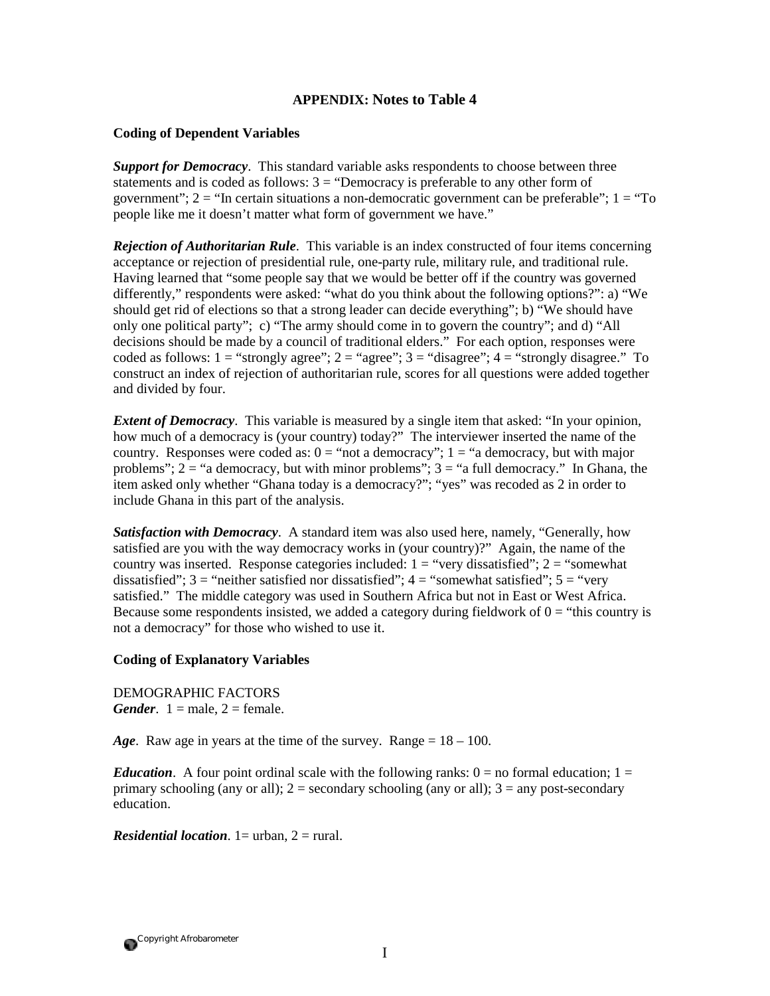### **APPENDIX: Notes to Table 4**

#### **Coding of Dependent Variables**

*Support for Democracy*. This standard variable asks respondents to choose between three statements and is coded as follows:  $3 =$  "Democracy is preferable to any other form of government";  $2 =$  "In certain situations a non-democratic government can be preferable";  $1 =$  "To people like me it doesn't matter what form of government we have."

*Rejection of Authoritarian Rule*. This variable is an index constructed of four items concerning acceptance or rejection of presidential rule, one-party rule, military rule, and traditional rule. Having learned that "some people say that we would be better off if the country was governed differently," respondents were asked: "what do you think about the following options?": a) "We should get rid of elections so that a strong leader can decide everything"; b) "We should have only one political party"; c) "The army should come in to govern the country"; and d) "All decisions should be made by a council of traditional elders." For each option, responses were coded as follows:  $1 =$  "strongly agree";  $2 =$  "agree";  $3 =$  "disagree";  $4 =$  "strongly disagree." To construct an index of rejection of authoritarian rule, scores for all questions were added together and divided by four.

*Extent of Democracy*. This variable is measured by a single item that asked: "In your opinion, how much of a democracy is (your country) today?" The interviewer inserted the name of the country. Responses were coded as:  $0 =$  "not a democracy";  $1 =$  "a democracy, but with major problems";  $2 =$  "a democracy, but with minor problems";  $3 =$  "a full democracy." In Ghana, the item asked only whether "Ghana today is a democracy?"; "yes" was recoded as 2 in order to include Ghana in this part of the analysis.

*Satisfaction with Democracy*. A standard item was also used here, namely, "Generally, how satisfied are you with the way democracy works in (your country)?" Again, the name of the country was inserted. Response categories included:  $1 =$  "very dissatisfied";  $2 =$  "somewhat" dissatisfied";  $3 =$  "neither satisfied nor dissatisfied";  $4 =$  "somewhat satisfied";  $5 =$  "very satisfied." The middle category was used in Southern Africa but not in East or West Africa. Because some respondents insisted, we added a category during fieldwork of  $0 =$  "this country is not a democracy" for those who wished to use it.

#### **Coding of Explanatory Variables**

DEMOGRAPHIC FACTORS *Gender*.  $1 =$  male,  $2 =$  female.

*Age*. Raw age in years at the time of the survey. Range = 18 – 100.

*Education*. A four point ordinal scale with the following ranks:  $0 =$  no formal education;  $1 =$ primary schooling (any or all);  $2 =$  secondary schooling (any or all);  $3 =$  any post-secondary education.

*Residential location.*  $1 =$  urban,  $2 =$  rural.

Copyright Afrobarometer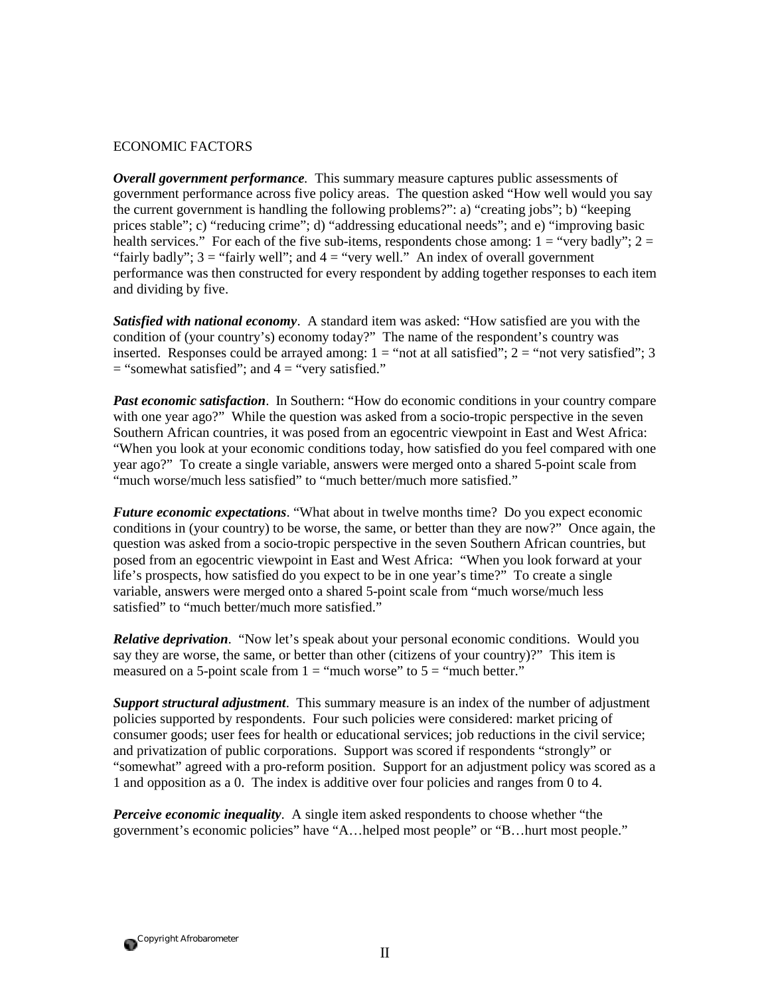#### ECONOMIC FACTORS

*Overall government performance.* This summary measure captures public assessments of government performance across five policy areas. The question asked "How well would you say the current government is handling the following problems?": a) "creating jobs"; b) "keeping prices stable"; c) "reducing crime"; d) "addressing educational needs"; and e) "improving basic health services." For each of the five sub-items, respondents chose among:  $1 =$  "very badly";  $2 =$ "fairly badly";  $3 =$  "fairly well"; and  $4 =$  "very well." An index of overall government performance was then constructed for every respondent by adding together responses to each item and dividing by five.

*Satisfied with national economy*. A standard item was asked: "How satisfied are you with the condition of (your country's) economy today?" The name of the respondent's country was inserted. Responses could be arrayed among:  $1 =$  "not at all satisfied";  $2 =$  "not very satisfied"; 3  $=$  "somewhat satisfied"; and  $4 =$  "very satisfied."

*Past economic satisfaction*. In Southern: "How do economic conditions in your country compare with one year ago?" While the question was asked from a socio-tropic perspective in the seven Southern African countries, it was posed from an egocentric viewpoint in East and West Africa: "When you look at your economic conditions today, how satisfied do you feel compared with one year ago?" To create a single variable, answers were merged onto a shared 5-point scale from "much worse/much less satisfied" to "much better/much more satisfied."

*Future economic expectations*. "What about in twelve months time? Do you expect economic conditions in (your country) to be worse, the same, or better than they are now?" Once again, the question was asked from a socio-tropic perspective in the seven Southern African countries, but posed from an egocentric viewpoint in East and West Africa: "When you look forward at your life's prospects, how satisfied do you expect to be in one year's time?" To create a single variable, answers were merged onto a shared 5-point scale from "much worse/much less satisfied" to "much better/much more satisfied."

*Relative deprivation*. "Now let's speak about your personal economic conditions. Would you say they are worse, the same, or better than other (citizens of your country)?" This item is measured on a 5-point scale from  $1 =$  "much worse" to  $5 =$  "much better."

*Support structural adjustment*. This summary measure is an index of the number of adjustment policies supported by respondents. Four such policies were considered: market pricing of consumer goods; user fees for health or educational services; job reductions in the civil service; and privatization of public corporations. Support was scored if respondents "strongly" or "somewhat" agreed with a pro-reform position. Support for an adjustment policy was scored as a 1 and opposition as a 0. The index is additive over four policies and ranges from 0 to 4.

*Perceive economic inequality*. A single item asked respondents to choose whether "the government's economic policies" have "A…helped most people" or "B…hurt most people."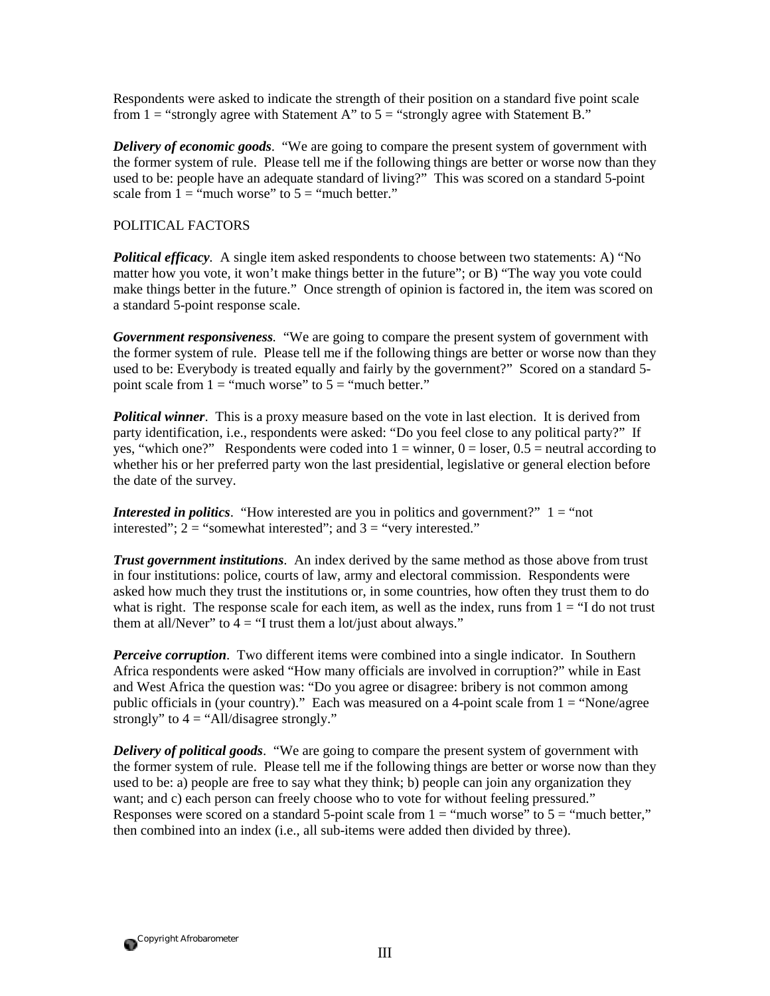Respondents were asked to indicate the strength of their position on a standard five point scale from  $1 =$  "strongly agree with Statement A" to  $5 =$  "strongly agree with Statement B."

*Delivery of economic goods*. "We are going to compare the present system of government with the former system of rule. Please tell me if the following things are better or worse now than they used to be: people have an adequate standard of living?" This was scored on a standard 5-point scale from  $1 =$  "much worse" to  $5 =$  "much better."

### POLITICAL FACTORS

*Political efficacy.* A single item asked respondents to choose between two statements: A) "No matter how you vote, it won't make things better in the future"; or B) "The way you vote could make things better in the future." Once strength of opinion is factored in, the item was scored on a standard 5-point response scale.

*Government responsiveness.* "We are going to compare the present system of government with the former system of rule. Please tell me if the following things are better or worse now than they used to be: Everybody is treated equally and fairly by the government?" Scored on a standard 5 point scale from  $1 =$  "much worse" to  $5 =$  "much better."

*Political winner*. This is a proxy measure based on the vote in last election. It is derived from party identification, i.e., respondents were asked: "Do you feel close to any political party?" If yes, "which one?" Respondents were coded into  $1 =$  winner,  $0 =$  loser,  $0.5 =$  neutral according to whether his or her preferred party won the last presidential, legislative or general election before the date of the survey.

*Interested in politics*. "How interested are you in politics and government?"  $1 =$  "not interested";  $2 =$  "somewhat interested"; and  $3 =$  "very interested."

*Trust government institutions*. An index derived by the same method as those above from trust in four institutions: police, courts of law, army and electoral commission. Respondents were asked how much they trust the institutions or, in some countries, how often they trust them to do what is right. The response scale for each item, as well as the index, runs from  $1 =$  "I do not trust" them at all/Never" to  $\overline{4}$  = "I trust them a lot/just about always."

*Perceive corruption*. Two different items were combined into a single indicator. In Southern Africa respondents were asked "How many officials are involved in corruption?" while in East and West Africa the question was: "Do you agree or disagree: bribery is not common among public officials in (your country)." Each was measured on a 4-point scale from  $1 =$  "None/agree" strongly" to  $4 =$  "All/disagree strongly."

**Delivery of political goods.** "We are going to compare the present system of government with the former system of rule. Please tell me if the following things are better or worse now than they used to be: a) people are free to say what they think; b) people can join any organization they want; and c) each person can freely choose who to vote for without feeling pressured." Responses were scored on a standard 5-point scale from  $1 =$  "much worse" to  $5 =$  "much better," then combined into an index (i.e., all sub-items were added then divided by three).

Copyright Afrobarometer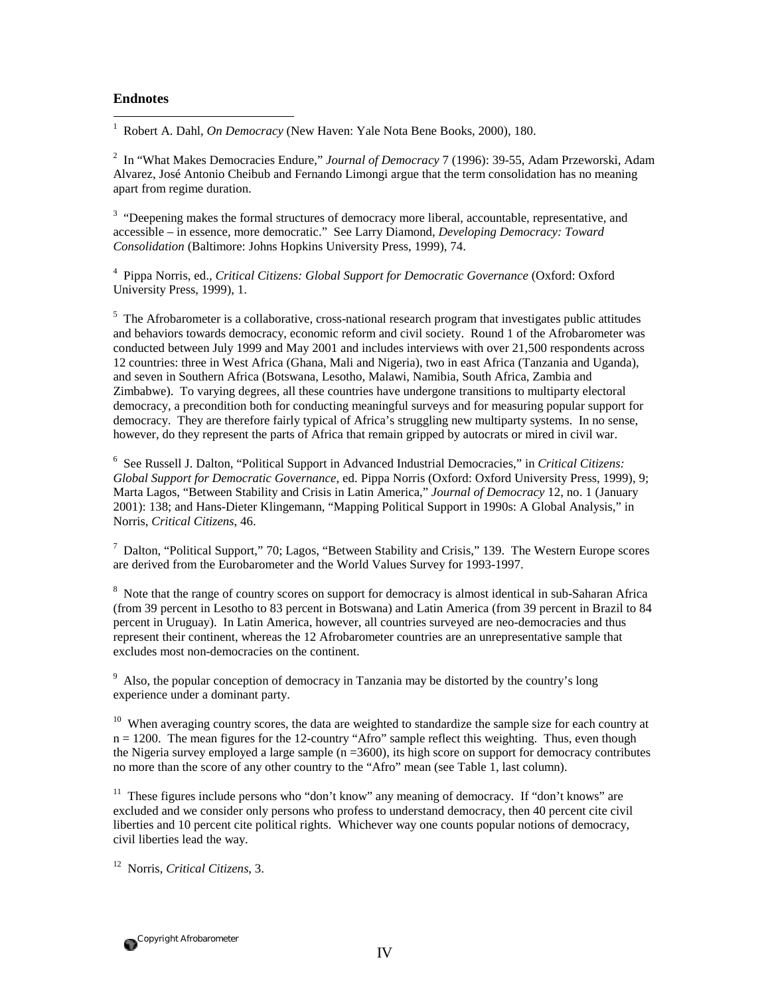#### **Endnotes**

 $\overline{a}$ 

1 Robert A. Dahl, *On Democracy* (New Haven: Yale Nota Bene Books, 2000), 180.

2 In "What Makes Democracies Endure," *Journal of Democracy* 7 (1996): 39-55, Adam Przeworski, Adam Alvarez, José Antonio Cheibub and Fernando Limongi argue that the term consolidation has no meaning apart from regime duration.

<sup>3</sup> "Deepening makes the formal structures of democracy more liberal, accountable, representative, and accessible – in essence, more democratic." See Larry Diamond, *Developing Democracy: Toward Consolidation* (Baltimore: Johns Hopkins University Press, 1999), 74.

4 Pippa Norris, ed., *Critical Citizens: Global Support for Democratic Governance* (Oxford: Oxford University Press, 1999), 1.

<sup>5</sup> The Afrobarometer is a collaborative, cross-national research program that investigates public attitudes and behaviors towards democracy, economic reform and civil society. Round 1 of the Afrobarometer was conducted between July 1999 and May 2001 and includes interviews with over 21,500 respondents across 12 countries: three in West Africa (Ghana, Mali and Nigeria), two in east Africa (Tanzania and Uganda), and seven in Southern Africa (Botswana, Lesotho, Malawi, Namibia, South Africa, Zambia and Zimbabwe). To varying degrees, all these countries have undergone transitions to multiparty electoral democracy, a precondition both for conducting meaningful surveys and for measuring popular support for democracy. They are therefore fairly typical of Africa's struggling new multiparty systems. In no sense, however, do they represent the parts of Africa that remain gripped by autocrats or mired in civil war.

6 See Russell J. Dalton, "Political Support in Advanced Industrial Democracies," in *Critical Citizens: Global Support for Democratic Governance*, ed. Pippa Norris (Oxford: Oxford University Press, 1999), 9; Marta Lagos, "Between Stability and Crisis in Latin America," *Journal of Democracy* 12, no. 1 (January 2001): 138; and Hans-Dieter Klingemann, "Mapping Political Support in 1990s: A Global Analysis," in Norris, *Critical Citizens*, 46.

 $^7$  Dalton, "Political Support," 70; Lagos, "Between Stability and Crisis," 139. The Western Europe scores are derived from the Eurobarometer and the World Values Survey for 1993-1997.

<sup>8</sup> Note that the range of country scores on support for democracy is almost identical in sub-Saharan Africa (from 39 percent in Lesotho to 83 percent in Botswana) and Latin America (from 39 percent in Brazil to 84 percent in Uruguay). In Latin America, however, all countries surveyed are neo-democracies and thus represent their continent, whereas the 12 Afrobarometer countries are an unrepresentative sample that excludes most non-democracies on the continent.

<sup>9</sup> Also, the popular conception of democracy in Tanzania may be distorted by the country's long experience under a dominant party.

 $10$  When averaging country scores, the data are weighted to standardize the sample size for each country at n = 1200. The mean figures for the 12-country "Afro" sample reflect this weighting. Thus, even though the Nigeria survey employed a large sample  $(n = 3600)$ , its high score on support for democracy contributes no more than the score of any other country to the "Afro" mean (see Table 1, last column).

<sup>11</sup> These figures include persons who "don't know" any meaning of democracy. If "don't knows" are excluded and we consider only persons who profess to understand democracy, then 40 percent cite civil liberties and 10 percent cite political rights. Whichever way one counts popular notions of democracy, civil liberties lead the way.

12 Norris, *Critical Citizens*, 3.

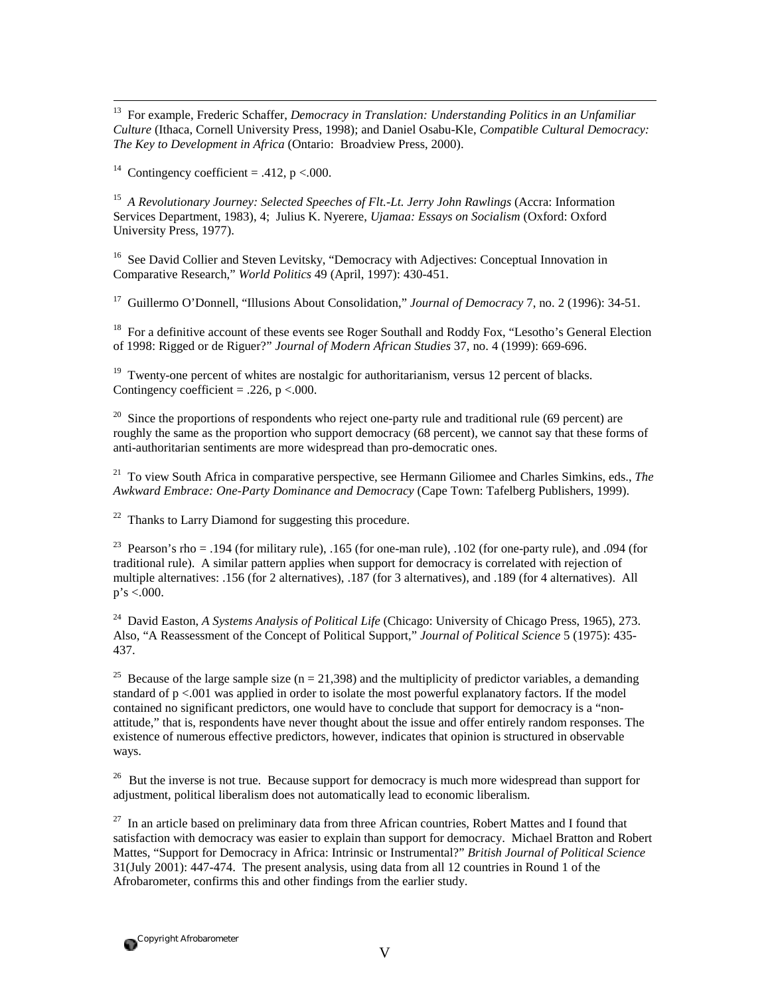13 For example, Frederic Schaffer, *Democracy in Translation: Understanding Politics in an Unfamiliar Culture* (Ithaca, Cornell University Press, 1998); and Daniel Osabu-Kle, *Compatible Cultural Democracy: The Key to Development in Africa* (Ontario: Broadview Press, 2000).

<sup>14</sup> Contingency coefficient = .412, p < 000.

15 *A Revolutionary Journey: Selected Speeches of Flt.-Lt. Jerry John Rawlings* (Accra: Information Services Department, 1983), 4; Julius K. Nyerere, *Ujamaa: Essays on Socialism* (Oxford: Oxford University Press, 1977).

<sup>16</sup> See David Collier and Steven Levitsky, "Democracy with Adjectives: Conceptual Innovation in Comparative Research," *World Politics* 49 (April, 1997): 430-451.

17 Guillermo O'Donnell, "Illusions About Consolidation," *Journal of Democracy* 7, no. 2 (1996): 34-51.

<sup>18</sup> For a definitive account of these events see Roger Southall and Roddy Fox, "Lesotho's General Election of 1998: Rigged or de Riguer?" *Journal of Modern African Studies* 37, no. 4 (1999): 669-696.

 $19$  Twenty-one percent of whites are nostalgic for authoritarianism, versus 12 percent of blacks. Contingency coefficient = .226,  $p < .000$ .

<sup>20</sup> Since the proportions of respondents who reject one-party rule and traditional rule (69 percent) are roughly the same as the proportion who support democracy (68 percent), we cannot say that these forms of anti-authoritarian sentiments are more widespread than pro-democratic ones.

21 To view South Africa in comparative perspective, see Hermann Giliomee and Charles Simkins, eds., *The Awkward Embrace: One-Party Dominance and Democracy* (Cape Town: Tafelberg Publishers, 1999).

 $22$  Thanks to Larry Diamond for suggesting this procedure.

<sup>23</sup> Pearson's rho = .194 (for military rule), .165 (for one-man rule), .102 (for one-party rule), and .094 (for traditional rule). A similar pattern applies when support for democracy is correlated with rejection of multiple alternatives: .156 (for 2 alternatives), .187 (for 3 alternatives), and .189 (for 4 alternatives). All  $p's < .000$ .

24 David Easton, *A Systems Analysis of Political Life* (Chicago: University of Chicago Press, 1965), 273. Also, "A Reassessment of the Concept of Political Support," *Journal of Political Science* 5 (1975): 435- 437.

<sup>25</sup> Because of the large sample size (n = 21,398) and the multiplicity of predictor variables, a demanding standard of p <.001 was applied in order to isolate the most powerful explanatory factors. If the model contained no significant predictors, one would have to conclude that support for democracy is a "nonattitude," that is, respondents have never thought about the issue and offer entirely random responses. The existence of numerous effective predictors, however, indicates that opinion is structured in observable ways.

 $26$  But the inverse is not true. Because support for democracy is much more widespread than support for adjustment, political liberalism does not automatically lead to economic liberalism.

 Mattes, "Support for Democracy in Africa: Intrinsic or Instrumental?" *British Journal of Political Science* 31(July 2001): 447-474. The present analysis, using data from all 12 countries in Round 1 of the  $27$  In an article based on preliminary data from three African countries, Robert Mattes and I found that satisfaction with democracy was easier to explain than support for democracy. Michael Bratton and Robert Afrobarometer, confirms this and other findings from the earlier study.

Copyright Afrobarometer